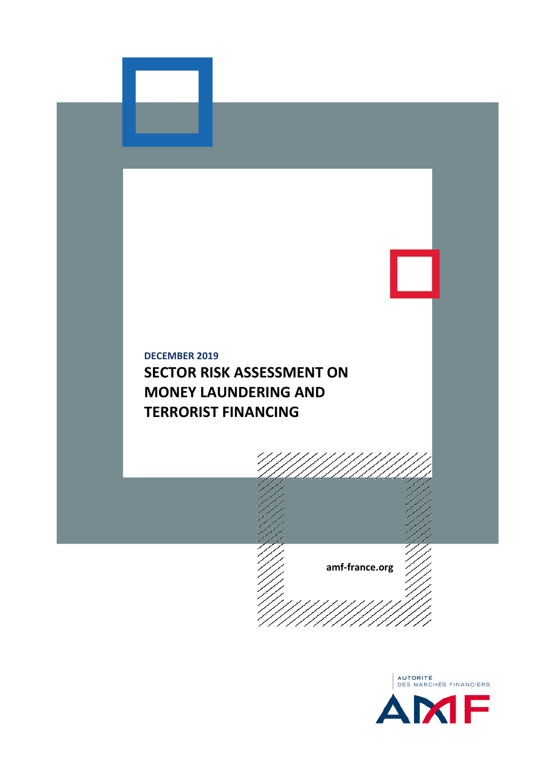

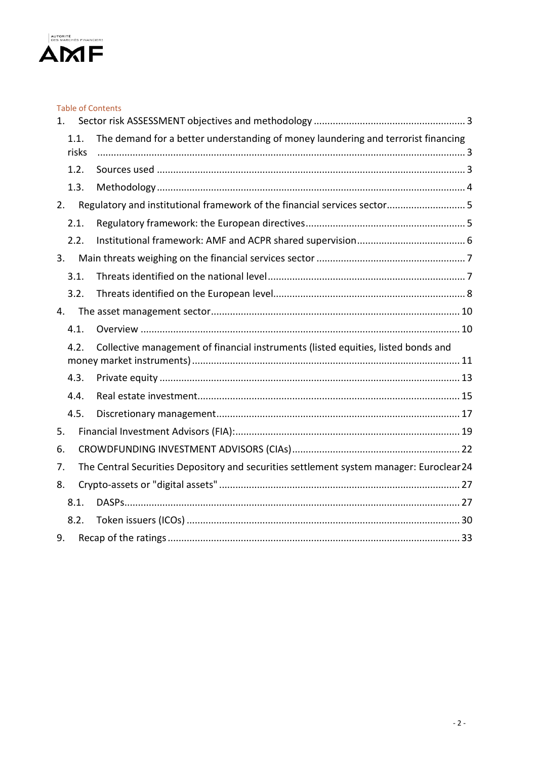

|                                                                                           | <b>Table of Contents</b>                                                                |
|-------------------------------------------------------------------------------------------|-----------------------------------------------------------------------------------------|
| $1_{-}$                                                                                   |                                                                                         |
| 1.1.<br>risks                                                                             | The demand for a better understanding of money laundering and terrorist financing       |
| 1.2.                                                                                      |                                                                                         |
| 1.3.                                                                                      |                                                                                         |
| 2.                                                                                        | Regulatory and institutional framework of the financial services sector 5               |
| 2.1.                                                                                      |                                                                                         |
| 2.2.                                                                                      |                                                                                         |
| 3.                                                                                        |                                                                                         |
| 3.1.                                                                                      |                                                                                         |
| 3.2.                                                                                      |                                                                                         |
| 4.                                                                                        |                                                                                         |
| 4.1.                                                                                      |                                                                                         |
| Collective management of financial instruments (listed equities, listed bonds and<br>4.2. |                                                                                         |
| 4.3.                                                                                      |                                                                                         |
| 4.4.                                                                                      |                                                                                         |
| 4.5.                                                                                      |                                                                                         |
| 5.                                                                                        |                                                                                         |
| 6.                                                                                        |                                                                                         |
| 7.                                                                                        | The Central Securities Depository and securities settlement system manager: Euroclear24 |
| 8.                                                                                        |                                                                                         |
| 8.1.                                                                                      |                                                                                         |
| 8.2.                                                                                      |                                                                                         |
| 9.                                                                                        |                                                                                         |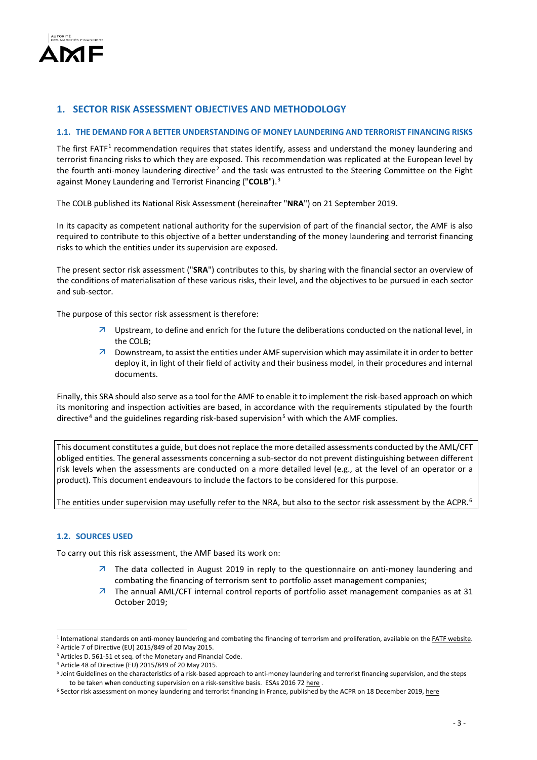

# **1. SECTOR RISK ASSESSMENT OBJECTIVES AND METHODOLOGY**

## **1.1. THE DEMAND FOR A BETTER UNDERSTANDING OF MONEY LAUNDERING AND TERRORIST FINANCING RISKS**

The first FATF<sup>[1](#page-2-0)</sup> recommendation requires that states identify, assess and understand the money laundering and terrorist financing risks to which they are exposed. This recommendation was replicated at the European level by the fourth anti-money laundering directive<sup>[2](#page-2-1)</sup> and the task was entrusted to the Steering Committee on the Fight against Money Laundering and Terrorist Financing ("**COLB**"). [3](#page-2-2)

The COLB published its National Risk Assessment (hereinafter "**NRA**") on 21 September 2019.

In its capacity as competent national authority for the supervision of part of the financial sector, the AMF is also required to contribute to this objective of a better understanding of the money laundering and terrorist financing risks to which the entities under its supervision are exposed.

The present sector risk assessment ("**SRA**") contributes to this, by sharing with the financial sector an overview of the conditions of materialisation of these various risks, their level, and the objectives to be pursued in each sector and sub-sector.

The purpose of this sector risk assessment is therefore:

- $\overline{a}$  Upstream, to define and enrich for the future the deliberations conducted on the national level, in the COLB;
- $\overline{z}$  Downstream, to assist the entities under AMF supervision which may assimilate it in order to better deploy it, in light of their field of activity and their business model, in their procedures and internal documents.

Finally, this SRA should also serve as a tool for the AMF to enable it to implement the risk-based approach on which its monitoring and inspection activities are based, in accordance with the requirements stipulated by the fourth directive<sup>[4](#page-2-3)</sup> and the guidelines regarding risk-based supervision<sup>[5](#page-2-4)</sup> with which the AMF complies.

This document constitutes a guide, but does not replace the more detailed assessments conducted by the AML/CFT obliged entities. The general assessments concerning a sub-sector do not prevent distinguishing between different risk levels when the assessments are conducted on a more detailed level (e.g., at the level of an operator or a product). This document endeavours to include the factors to be considered for this purpose.

The entities under supervision may usefully refer to the NRA, but also to the sector risk assessment by the ACPR.<sup>[6](#page-2-5)</sup>

## **1.2. SOURCES USED**

<u>.</u>

To carry out this risk assessment, the AMF based its work on:

- $\overline{z}$  The data collected in August 2019 in reply to the questionnaire on anti-money laundering and combating the financing of terrorism sent to portfolio asset management companies;
- $\overline{z}$  The annual AML/CFT internal control reports of portfolio asset management companies as at 31 October 2019;

<span id="page-2-0"></span><sup>&</sup>lt;sup>1</sup> International standards on anti-money laundering and combating the financing of terrorism and proliferation, available on the **FATF website.** <sup>2</sup> Article 7 of Directive (EU) 2015/849 of 20 May 2015.

<span id="page-2-3"></span><span id="page-2-2"></span><span id="page-2-1"></span><sup>&</sup>lt;sup>3</sup> Articles D. 561-51 et seq. of the Monetary and Financial Code.<br><sup>4</sup> Article 48 of Directive (EU) 2015/849 of 20 May 2015.

<span id="page-2-4"></span><sup>&</sup>lt;sup>5</sup> Joint Guidelines on the characteristics of a risk-based approach to anti-money laundering and terrorist financing supervision, and the steps

<span id="page-2-5"></span>to be taken when conducting supervision on a risk-sensitive basis[.](https://esas-joint-committee.europa.eu/Publications/Guidelines/Joint%20Guidelines%20on%20risk-based%20supervision_FR%20%28ESAs%202016%2072%29.pdf) ESAs 2016 72 here .<br><sup>6</sup> Sector risk assessment on money laundering and terrorist financing in France, published by the ACPR on 18 December 2019[, here](https://acpr.banque-france.fr/analyse-sectorielle-des-risques-de-blanchiment-de-capitaux-et-de-financement-du-terrorisme-en-france)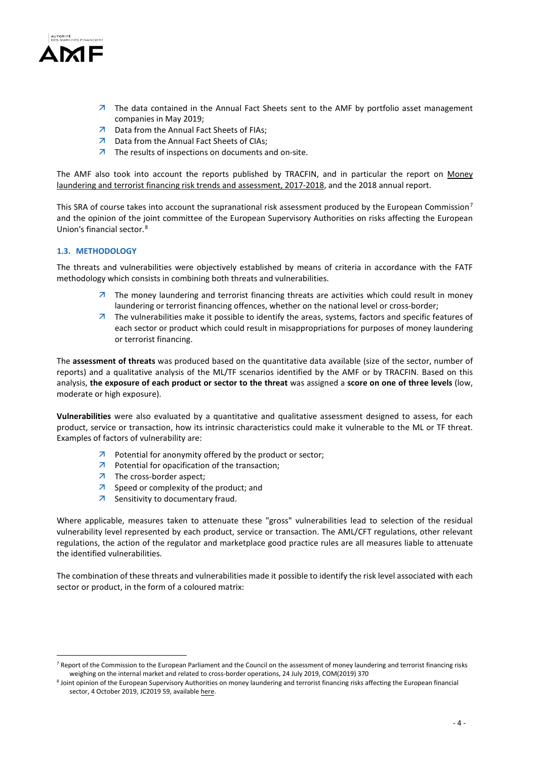

- $\overline{z}$  The data contained in the Annual Fact Sheets sent to the AMF by portfolio asset management companies in May 2019;
- 7 Data from the Annual Fact Sheets of FIAs;
- 7 Data from the Annual Fact Sheets of CIAs;
- $\overline{z}$  The results of inspections on documents and on-site.

The AMF also took into account the reports published by TRACFIN, and in particular the report on Money laundering and terrorist financing risk trends and assessment, 2017-2018, and the 2018 annual report.

This SRA of course takes into account the supranational risk assessment produced by the European Commission<sup>[7](#page-3-0)</sup> and the opinion of the joint committee of the European Supervisory Authorities on risks affecting the European Union's financial sector. [8](#page-3-1)

# **1.3. METHODOLOGY**

-

The threats and vulnerabilities were objectively established by means of criteria in accordance with the FATF methodology which consists in combining both threats and vulnerabilities.

- $\overline{z}$  The money laundering and terrorist financing threats are activities which could result in money laundering or terrorist financing offences, whether on the national level or cross-border;
- $\overline{z}$  The vulnerabilities make it possible to identify the areas, systems, factors and specific features of each sector or product which could result in misappropriations for purposes of money laundering or terrorist financing.

The **assessment of threats** was produced based on the quantitative data available (size of the sector, number of reports) and a qualitative analysis of the ML/TF scenarios identified by the AMF or by TRACFIN. Based on this analysis, **the exposure of each product or sector to the threat** was assigned a **score on one of three levels** (low, moderate or high exposure).

**Vulnerabilities** were also evaluated by a quantitative and qualitative assessment designed to assess, for each product, service or transaction, how its intrinsic characteristics could make it vulnerable to the ML or TF threat. Examples of factors of vulnerability are:

- $\overline{\mathcal{A}}$  Potential for anonymity offered by the product or sector;
- $\nabla$  Potential for opacification of the transaction;
- $\n *7*\n The cross-border aspect;\n$
- $\overline{z}$  Speed or complexity of the product; and
- **7** Sensitivity to documentary fraud.

Where applicable, measures taken to attenuate these "gross" vulnerabilities lead to selection of the residual vulnerability level represented by each product, service or transaction. The AML/CFT regulations, other relevant regulations, the action of the regulator and marketplace good practice rules are all measures liable to attenuate the identified vulnerabilities.

The combination of these threats and vulnerabilities made it possible to identify the risk level associated with each sector or product, in the form of a coloured matrix:

<span id="page-3-0"></span><sup>&</sup>lt;sup>7</sup> Report of the Commission to the European Parliament and the Council on the assessment of money laundering and terrorist financing risks weighing on the internal market and related to cross-border operations, 24 July 2019, COM(2019) 370

<span id="page-3-1"></span><sup>&</sup>lt;sup>8</sup> Joint opinion of the European Supervisory Authorities on money laundering and terrorist financing risks affecting the European financial sector, 4 October 2019, JC2019 59, availabl[e here.](https://esas-joint-committee.europa.eu/Publications/Opinions/Joint%20Opinion%20on%20the%20risks%20on%20ML%20and%20TF%20affecting%20the%20EU)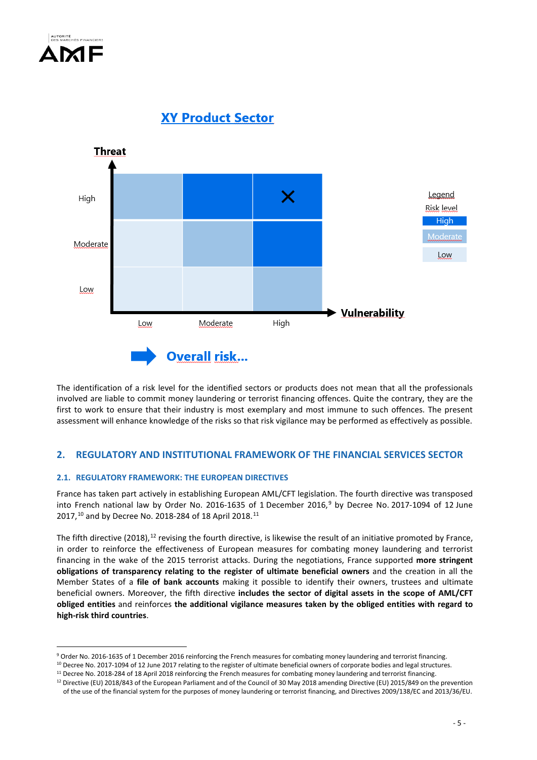

**XY Product Sector** 



The identification of a risk level for the identified sectors or products does not mean that all the professionals involved are liable to commit money laundering or terrorist financing offences. Quite the contrary, they are the first to work to ensure that their industry is most exemplary and most immune to such offences. The present assessment will enhance knowledge of the risks so that risk vigilance may be performed as effectively as possible.

# **2. REGULATORY AND INSTITUTIONAL FRAMEWORK OF THE FINANCIAL SERVICES SECTOR**

# **2.1. REGULATORY FRAMEWORK: THE EUROPEAN DIRECTIVES**

France has taken part actively in establishing European AML/CFT legislation. The fourth directive was transposed into French national law by Order No. 2016-1635 of 1 December 2016, [9](#page-4-0) by Decree No. 2017-1094 of 12 June 2017,<sup>[10](#page-4-1)</sup> and by Decree No. 2018-284 of 18 April 2018.<sup>[11](#page-4-2)</sup>

The fifth directive (2018), <sup>[12](#page-4-3)</sup> revising the fourth directive, is likewise the result of an initiative promoted by France, in order to reinforce the effectiveness of European measures for combating money laundering and terrorist financing in the wake of the 2015 terrorist attacks. During the negotiations, France supported **more stringent obligations of transparency relating to the register of ultimate beneficial owners** and the creation in all the Member States of a **file of bank accounts** making it possible to identify their owners, trustees and ultimate beneficial owners. Moreover, the fifth directive **includes the sector of digital assets in the scope of AML/CFT obliged entities** and reinforces **the additional vigilance measures taken by the obliged entities with regard to high-risk third countries**.

<sup>-</sup><sup>9</sup> Order No. 2016-1635 of 1 December 2016 reinforcing the French measures for combating money laundering and terrorist financing.

<span id="page-4-2"></span><span id="page-4-1"></span><span id="page-4-0"></span><sup>&</sup>lt;sup>10</sup> Decree No. 2017-1094 of 12 June 2017 relating to the register of ultimate beneficial owners of corporate bodies and legal structures.

 $11$  Decree No. 2018-284 of 18 April 2018 reinforcing the French measures for combating money laundering and terrorist financing.

<span id="page-4-3"></span><sup>&</sup>lt;sup>12</sup> Directive (EU) 2018/843 of the European Parliament and of the Council of 30 May 2018 amending Directive (EU) 2015/849 on the prevention of the use of the financial system for the purposes of money laundering or terrorist financing, and Directives 2009/138/EC and 2013/36/EU.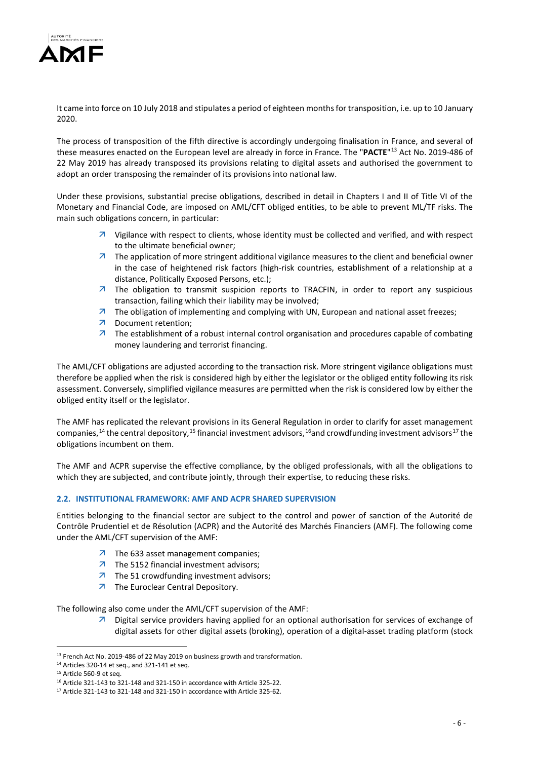

It came into force on 10 July 2018 and stipulates a period of eighteen months for transposition, i.e. up to 10 January 2020.

The process of transposition of the fifth directive is accordingly undergoing finalisation in France, and several of these measures enacted on the European level are already in force in France. The "**PACTE**"[13](#page-5-0) Act No. 2019-486 of 22 May 2019 has already transposed its provisions relating to digital assets and authorised the government to adopt an order transposing the remainder of its provisions into national law.

Under these provisions, substantial precise obligations, described in detail in Chapters I and II of Title VI of the Monetary and Financial Code, are imposed on AML/CFT obliged entities, to be able to prevent ML/TF risks. The main such obligations concern, in particular:

- $\overline{z}$  Vigilance with respect to clients, whose identity must be collected and verified, and with respect to the ultimate beneficial owner;
- $\overline{z}$  The application of more stringent additional vigilance measures to the client and beneficial owner in the case of heightened risk factors (high-risk countries, establishment of a relationship at a distance, Politically Exposed Persons, etc.);
- $\overline{z}$  The obligation to transmit suspicion reports to TRACFIN, in order to report any suspicious transaction, failing which their liability may be involved;
- $\overline{z}$  The obligation of implementing and complying with UN, European and national asset freezes;
- Document retention;
- $\overline{z}$  The establishment of a robust internal control organisation and procedures capable of combating money laundering and terrorist financing.

The AML/CFT obligations are adjusted according to the transaction risk. More stringent vigilance obligations must therefore be applied when the risk is considered high by either the legislator or the obliged entity following its risk assessment. Conversely, simplified vigilance measures are permitted when the risk is considered low by either the obliged entity itself or the legislator.

The AMF has replicated the relevant provisions in its General Regulation in order to clarify for asset management companies,<sup>[14](#page-5-1)</sup> the central depository,<sup>[15](#page-5-2)</sup> financial investment advisors,<sup>[16](#page-5-3)</sup>and crowdfunding investment advisors<sup>[17](#page-5-4)</sup> the obligations incumbent on them.

The AMF and ACPR supervise the effective compliance, by the obliged professionals, with all the obligations to which they are subjected, and contribute jointly, through their expertise, to reducing these risks.

# **2.2. INSTITUTIONAL FRAMEWORK: AMF AND ACPR SHARED SUPERVISION**

Entities belonging to the financial sector are subject to the control and power of sanction of the Autorité de Contrôle Prudentiel et de Résolution (ACPR) and the Autorité des Marchés Financiers (AMF). The following come under the AML/CFT supervision of the AMF:

- **7** The 633 asset management companies;
- $\overline{z}$  The 5152 financial investment advisors;
- $\overline{z}$  The 51 crowdfunding investment advisors;
- 7 The Euroclear Central Depository.

The following also come under the AML/CFT supervision of the AMF:

 $\overline{\phantom{a}}$  Digital service providers having applied for an optional authorisation for services of exchange of digital assets for other digital assets (broking), operation of a digital-asset trading platform (stock

<sup>-</sup><sup>13</sup> French Act No. 2019-486 of 22 May 2019 on business growth and transformation.

<span id="page-5-1"></span><span id="page-5-0"></span><sup>14</sup> Articles 320-14 et seq., and 321-141 et seq.

<span id="page-5-2"></span><sup>15</sup> Article 560-9 et seq.

<span id="page-5-3"></span><sup>&</sup>lt;sup>16</sup> Article 321-143 to 321-148 and 321-150 in accordance with Article 325-22.<br><sup>17</sup> Article 321-143 to 321-148 and 321-150 in accordance with Article 325-62.

<span id="page-5-4"></span>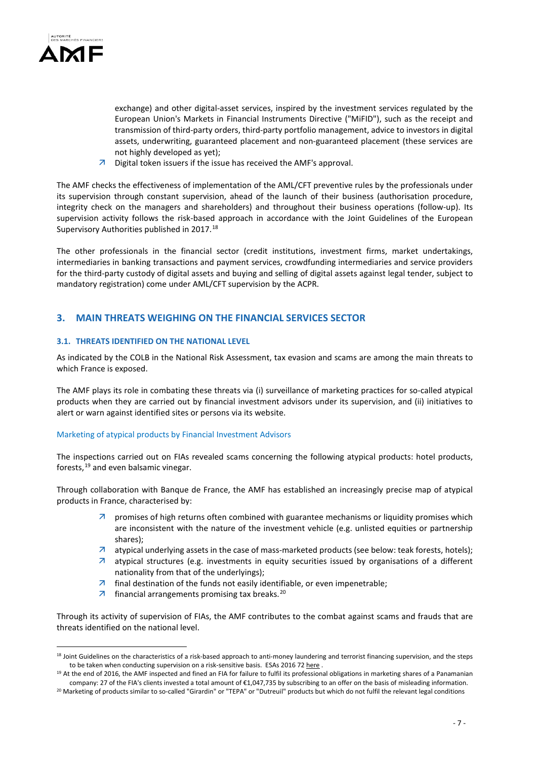

-

exchange) and other digital-asset services, inspired by the investment services regulated by the European Union's Markets in Financial Instruments Directive ("MiFID"), such as the receipt and transmission of third-party orders, third-party portfolio management, advice to investors in digital assets, underwriting, guaranteed placement and non-guaranteed placement (these services are not highly developed as yet);

 $\overline{\mathcal{A}}$  Digital token issuers if the issue has received the AMF's approval.

The AMF checks the effectiveness of implementation of the AML/CFT preventive rules by the professionals under its supervision through constant supervision, ahead of the launch of their business (authorisation procedure, integrity check on the managers and shareholders) and throughout their business operations (follow-up). Its supervision activity follows the risk-based approach in accordance with the Joint Guidelines of the European Supervisory Authorities published in 2017.<sup>[18](#page-6-0)</sup>

The other professionals in the financial sector (credit institutions, investment firms, market undertakings, intermediaries in banking transactions and payment services, crowdfunding intermediaries and service providers for the third-party custody of digital assets and buying and selling of digital assets against legal tender, subject to mandatory registration) come under AML/CFT supervision by the ACPR.

# **3. MAIN THREATS WEIGHING ON THE FINANCIAL SERVICES SECTOR**

# **3.1. THREATS IDENTIFIED ON THE NATIONAL LEVEL**

As indicated by the COLB in the National Risk Assessment, tax evasion and scams are among the main threats to which France is exposed.

The AMF plays its role in combating these threats via (i) surveillance of marketing practices for so-called atypical products when they are carried out by financial investment advisors under its supervision, and (ii) initiatives to alert or warn against identified sites or persons via its website.

# Marketing of atypical products by Financial Investment Advisors

The inspections carried out on FIAs revealed scams concerning the following atypical products: hotel products, forests, [19](#page-6-1) and even balsamic vinegar.

Through collaboration with Banque de France, the AMF has established an increasingly precise map of atypical products in France, characterised by:

- $\overline{z}$  promises of high returns often combined with guarantee mechanisms or liquidity promises which are inconsistent with the nature of the investment vehicle (e.g. unlisted equities or partnership shares);
- $\overline{a}$  atypical underlying assets in the case of mass-marketed products (see below: teak forests, hotels);
- $\overline{z}$  atypical structures (e.g. investments in equity securities issued by organisations of a different nationality from that of the underlyings);
- $\overline{\phantom{a}}$  final destination of the funds not easily identifiable, or even impenetrable;
- $\overline{z}$  financial arrangements promising tax breaks.<sup>[20](#page-6-2)</sup>

Through its activity of supervision of FIAs, the AMF contributes to the combat against scams and frauds that are threats identified on the national level.

<span id="page-6-0"></span><sup>&</sup>lt;sup>18</sup> Joint Guidelines on the characteristics of a risk-based approach to anti-money laundering and terrorist financing supervision, and the steps to be taken when conducting supervision on a risk-sensitive basis. ESAs 2016 7[2 here](https://esas-joint-committee.europa.eu/Publications/Guidelines/Joint%20Guidelines%20on%20risk-based%20supervision_FR%20%28ESAs%202016%2072%29.pdf).

<span id="page-6-1"></span><sup>&</sup>lt;sup>19</sup> At the end of 2016, the AMF inspected and fined an FIA for failure to fulfil its professional obligations in marketing shares of a Panamanian company: 27 of the FIA's clients invested a total amount of €1,047,735 by subscribing to an offer on the basis of misleading information.

<span id="page-6-2"></span><sup>&</sup>lt;sup>20</sup> Marketing of products similar to so-called "Girardin" or "TEPA" or "Dutreuil" products but which do not fulfil the relevant legal conditions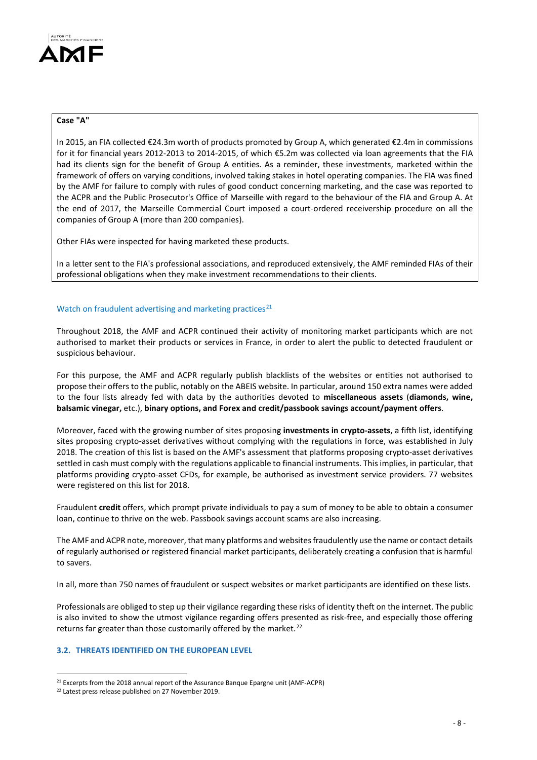

# **Case "A"**

In 2015, an FIA collected €24.3m worth of products promoted by Group A, which generated €2.4m in commissions for it for financial years 2012-2013 to 2014-2015, of which €5.2m was collected via loan agreements that the FIA had its clients sign for the benefit of Group A entities. As a reminder, these investments, marketed within the framework of offers on varying conditions, involved taking stakes in hotel operating companies. The FIA was fined by the AMF for failure to comply with rules of good conduct concerning marketing, and the case was reported to the ACPR and the Public Prosecutor's Office of Marseille with regard to the behaviour of the FIA and Group A. At the end of 2017, the Marseille Commercial Court imposed a court-ordered receivership procedure on all the companies of Group A (more than 200 companies).

Other FIAs were inspected for having marketed these products.

In a letter sent to the FIA's professional associations, and reproduced extensively, the AMF reminded FIAs of their professional obligations when they make investment recommendations to their clients.

#### Watch on fraudulent advertising and marketing practices $^{21}$  $^{21}$  $^{21}$

Throughout 2018, the AMF and ACPR continued their activity of monitoring market participants which are not authorised to market their products or services in France, in order to alert the public to detected fraudulent or suspicious behaviour.

For this purpose, the AMF and ACPR regularly publish blacklists of the websites or entities not authorised to propose their offers to the public, notably on the ABEIS website. In particular, around 150 extra names were added to the four lists already fed with data by the authorities devoted to **miscellaneous assets** (**diamonds, wine, balsamic vinegar,** etc.), **binary options, and Forex and credit/passbook savings account/payment offers**.

Moreover, faced with the growing number of sites proposing **investments in crypto-assets**, a fifth list, identifying sites proposing crypto-asset derivatives without complying with the regulations in force, was established in July 2018. The creation of this list is based on the AMF's assessment that platforms proposing crypto-asset derivatives settled in cash must comply with the regulations applicable to financial instruments. This implies, in particular, that platforms providing crypto-asset CFDs, for example, be authorised as investment service providers. 77 websites were registered on this list for 2018.

Fraudulent **credit** offers, which prompt private individuals to pay a sum of money to be able to obtain a consumer loan, continue to thrive on the web. Passbook savings account scams are also increasing.

The AMF and ACPR note, moreover, that many platforms and websites fraudulently use the name or contact details of regularly authorised or registered financial market participants, deliberately creating a confusion that is harmful to savers.

In all, more than 750 names of fraudulent or suspect websites or market participants are identified on these lists.

Professionals are obliged to step up their vigilance regarding these risks of identity theft on the internet. The public is also invited to show the utmost vigilance regarding offers presented as risk-free, and especially those offering returns far greater than those customarily offered by the market.<sup>[22](#page-7-1)</sup>

# **3.2. THREATS IDENTIFIED ON THE EUROPEAN LEVEL**

-

<span id="page-7-0"></span><sup>&</sup>lt;sup>21</sup> Excerpts from the 2018 annual report of the Assurance Banque Epargne unit (AMF-ACPR) <sup>22</sup> Latest press release published on 27 November 2019.

<span id="page-7-1"></span>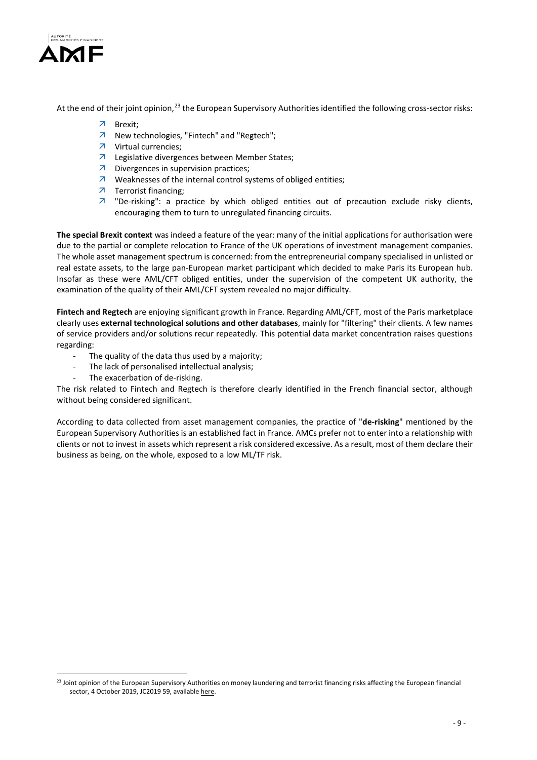

-

At the end of their joint opinion,<sup>[23](#page-8-0)</sup> the European Supervisory Authorities identified the following cross-sector risks:

- Brexit;
- 7 New technologies, "Fintech" and "Regtech";
- Virtual currencies;
- Legislative divergences between Member States;
- **7** Divergences in supervision practices;
- $\overline{\phantom{a}}$  Weaknesses of the internal control systems of obliged entities;
- 7 Terrorist financing;
- $\overline{z}$  "De-risking": a practice by which obliged entities out of precaution exclude risky clients, encouraging them to turn to unregulated financing circuits.

**The special Brexit context** was indeed a feature of the year: many of the initial applications for authorisation were due to the partial or complete relocation to France of the UK operations of investment management companies. The whole asset management spectrum is concerned: from the entrepreneurial company specialised in unlisted or real estate assets, to the large pan-European market participant which decided to make Paris its European hub. Insofar as these were AML/CFT obliged entities, under the supervision of the competent UK authority, the examination of the quality of their AML/CFT system revealed no major difficulty.

**Fintech and Regtech** are enjoying significant growth in France. Regarding AML/CFT, most of the Paris marketplace clearly uses **external technological solutions and other databases**, mainly for "filtering" their clients. A few names of service providers and/or solutions recur repeatedly. This potential data market concentration raises questions regarding:

- The quality of the data thus used by a majority;
- The lack of personalised intellectual analysis;
- The exacerbation of de-risking.

The risk related to Fintech and Regtech is therefore clearly identified in the French financial sector, although without being considered significant.

According to data collected from asset management companies, the practice of "**de-risking**" mentioned by the European Supervisory Authorities is an established fact in France. AMCs prefer not to enter into a relationship with clients or not to invest in assets which represent a risk considered excessive. As a result, most of them declare their business as being, on the whole, exposed to a low ML/TF risk.

<span id="page-8-0"></span><sup>&</sup>lt;sup>23</sup> Joint opinion of the European Supervisory Authorities on money laundering and terrorist financing risks affecting the European financial sector, 4 October 2019, JC2019 59, availabl[e here.](https://esas-joint-committee.europa.eu/Publications/Opinions/Joint%20Opinion%20on%20the%20risks%20on%20ML%20and%20TF%20affecting%20the%20EU)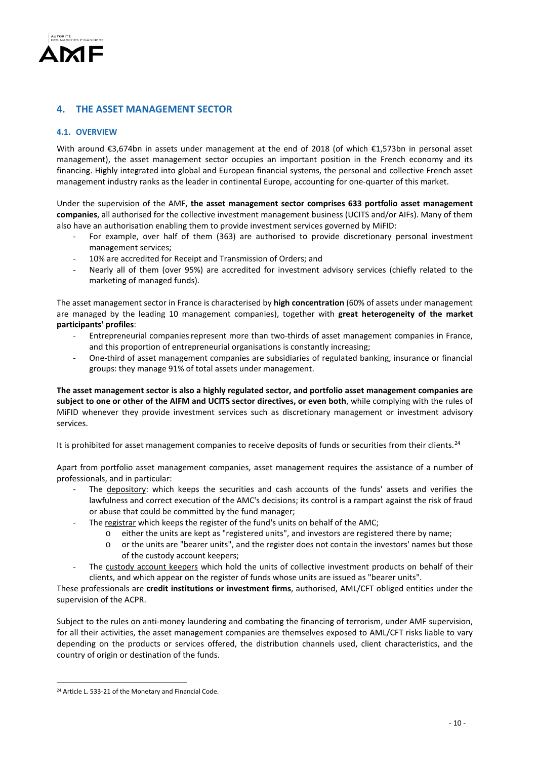

# **4. THE ASSET MANAGEMENT SECTOR**

# **4.1. OVERVIEW**

With around €3,674bn in assets under management at the end of 2018 (of which €1,573bn in personal asset management), the asset management sector occupies an important position in the French economy and its financing. Highly integrated into global and European financial systems, the personal and collective French asset management industry ranks as the leader in continental Europe, accounting for one-quarter of this market.

Under the supervision of the AMF, **the asset management sector comprises 633 portfolio asset management companies**, all authorised for the collective investment management business (UCITS and/or AIFs). Many of them also have an authorisation enabling them to provide investment services governed by MiFID:

- For example, over half of them (363) are authorised to provide discretionary personal investment management services;
- 10% are accredited for Receipt and Transmission of Orders; and
- Nearly all of them (over 95%) are accredited for investment advisory services (chiefly related to the marketing of managed funds).

The asset management sector in France is characterised by **high concentration** (60% of assets under management are managed by the leading 10 management companies), together with **great heterogeneity of the market participants' profiles**:

- Entrepreneurial companies represent more than two-thirds of asset management companies in France, and this proportion of entrepreneurial organisations is constantly increasing;
- One-third of asset management companies are subsidiaries of regulated banking, insurance or financial groups: they manage 91% of total assets under management.

**The asset management sector is also a highly regulated sector, and portfolio asset management companies are subject to one or other of the AIFM and UCITS sector directives, or even both**, while complying with the rules of MiFID whenever they provide investment services such as discretionary management or investment advisory services.

It is prohibited for asset management companies to receive deposits of funds or securities from their clients.<sup>[24](#page-9-0)</sup>

Apart from portfolio asset management companies, asset management requires the assistance of a number of professionals, and in particular:

- The depository: which keeps the securities and cash accounts of the funds' assets and verifies the lawfulness and correct execution of the AMC's decisions; its control is a rampart against the risk of fraud or abuse that could be committed by the fund manager;
	- The registrar which keeps the register of the fund's units on behalf of the AMC;
		- o either the units are kept as "registered units", and investors are registered there by name;
		- o or the units are "bearer units", and the register does not contain the investors' names but those of the custody account keepers;
	- The custody account keepers which hold the units of collective investment products on behalf of their clients, and which appear on the register of funds whose units are issued as "bearer units".

These professionals are **credit institutions or investment firms**, authorised, AML/CFT obliged entities under the supervision of the ACPR.

Subject to the rules on anti-money laundering and combating the financing of terrorism, under AMF supervision, for all their activities, the asset management companies are themselves exposed to AML/CFT risks liable to vary depending on the products or services offered, the distribution channels used, client characteristics, and the country of origin or destination of the funds.

<u>.</u>

<span id="page-9-0"></span><sup>&</sup>lt;sup>24</sup> Article L. 533-21 of the Monetary and Financial Code.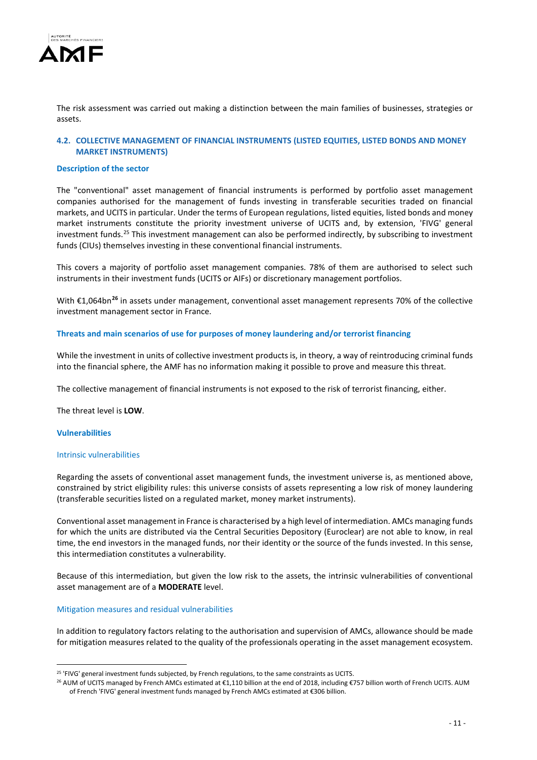

The risk assessment was carried out making a distinction between the main families of businesses, strategies or assets.

# **4.2. COLLECTIVE MANAGEMENT OF FINANCIAL INSTRUMENTS (LISTED EQUITIES, LISTED BONDS AND MONEY MARKET INSTRUMENTS)**

#### **Description of the sector**

The "conventional" asset management of financial instruments is performed by portfolio asset management companies authorised for the management of funds investing in transferable securities traded on financial markets, and UCITS in particular. Under the terms of European regulations, listed equities, listed bonds and money market instruments constitute the priority investment universe of UCITS and, by extension, 'FIVG' general investment funds.<sup>[25](#page-10-0)</sup> This investment management can also be performed indirectly, by subscribing to investment funds (CIUs) themselves investing in these conventional financial instruments.

This covers a majority of portfolio asset management companies. 78% of them are authorised to select such instruments in their investment funds (UCITS or AIFs) or discretionary management portfolios.

With €1,064bn**[26](#page-10-1)** in assets under management, conventional asset management represents 70% of the collective investment management sector in France.

#### **Threats and main scenarios of use for purposes of money laundering and/or terrorist financing**

While the investment in units of collective investment products is, in theory, a way of reintroducing criminal funds into the financial sphere, the AMF has no information making it possible to prove and measure this threat.

The collective management of financial instruments is not exposed to the risk of terrorist financing, either.

The threat level is **LOW**.

#### **Vulnerabilities**

-

#### Intrinsic vulnerabilities

Regarding the assets of conventional asset management funds, the investment universe is, as mentioned above, constrained by strict eligibility rules: this universe consists of assets representing a low risk of money laundering (transferable securities listed on a regulated market, money market instruments).

Conventional asset management in France is characterised by a high level of intermediation. AMCs managing funds for which the units are distributed via the Central Securities Depository (Euroclear) are not able to know, in real time, the end investors in the managed funds, nor their identity or the source of the funds invested. In this sense, this intermediation constitutes a vulnerability.

Because of this intermediation, but given the low risk to the assets, the intrinsic vulnerabilities of conventional asset management are of a **MODERATE** level.

Mitigation measures and residual vulnerabilities

In addition to regulatory factors relating to the authorisation and supervision of AMCs, allowance should be made for mitigation measures related to the quality of the professionals operating in the asset management ecosystem.

<span id="page-10-0"></span><sup>&</sup>lt;sup>25</sup> 'FIVG' general investment funds subjected, by French regulations, to the same constraints as UCITS.

<span id="page-10-1"></span><sup>&</sup>lt;sup>26</sup> AUM of UCITS managed by French AMCs estimated at €1,110 billion at the end of 2018, including €757 billion worth of French UCITS. AUM of French 'FIVG' general investment funds managed by French AMCs estimated at €306 billion.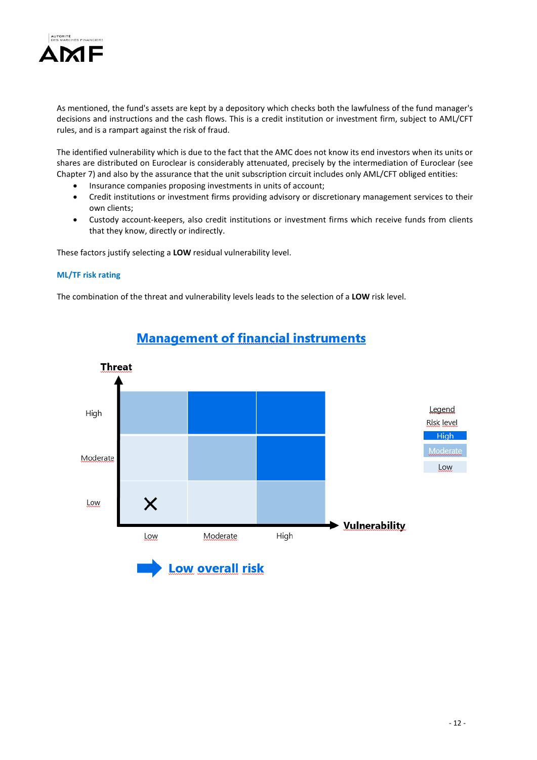

As mentioned, the fund's assets are kept by a depository which checks both the lawfulness of the fund manager's decisions and instructions and the cash flows. This is a credit institution or investment firm, subject to AML/CFT rules, and is a rampart against the risk of fraud.

The identified vulnerability which is due to the fact that the AMC does not know its end investors when its units or shares are distributed on Euroclear is considerably attenuated, precisely by the intermediation of Euroclear (see Chapter 7) and also by the assurance that the unit subscription circuit includes only AML/CFT obliged entities:

- Insurance companies proposing investments in units of account;
- Credit institutions or investment firms providing advisory or discretionary management services to their own clients;
- Custody account-keepers, also credit institutions or investment firms which receive funds from clients that they know, directly or indirectly.

These factors justify selecting a **LOW** residual vulnerability level.

# **ML/TF risk rating**

The combination of the threat and vulnerability levels leads to the selection of a **LOW** risk level.



# **Management of financial instruments**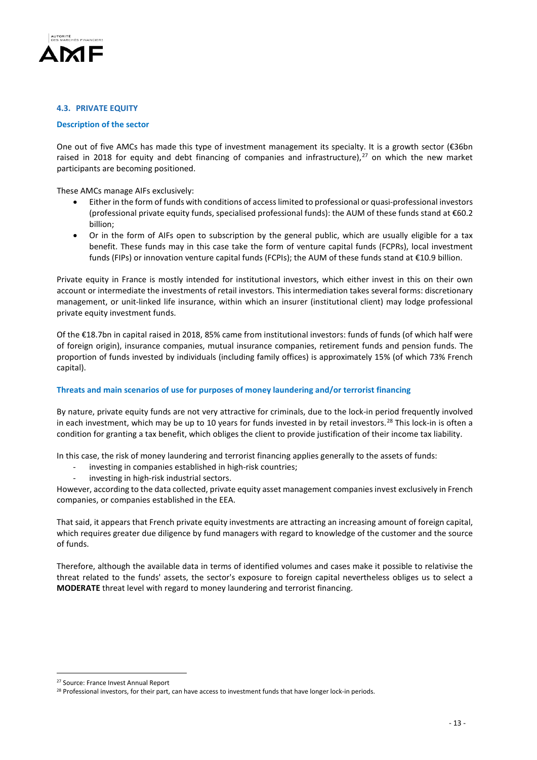

## **4.3. PRIVATE EQUITY**

#### **Description of the sector**

One out of five AMCs has made this type of investment management its specialty. It is a growth sector ( $\epsilon$ 36bn raised in 2018 for equity and debt financing of companies and infrastructure), $^{27}$  $^{27}$  $^{27}$  on which the new market participants are becoming positioned.

These AMCs manage AIFs exclusively:

- Either in the form of funds with conditions of access limited to professional or quasi-professional investors (professional private equity funds, specialised professional funds): the AUM of these funds stand at €60.2 billion;
- Or in the form of AIFs open to subscription by the general public, which are usually eligible for a tax benefit. These funds may in this case take the form of venture capital funds (FCPRs), local investment funds (FIPs) or innovation venture capital funds (FCPIs); the AUM of these funds stand at €10.9 billion.

Private equity in France is mostly intended for institutional investors, which either invest in this on their own account or intermediate the investments of retail investors. This intermediation takes several forms: discretionary management, or unit-linked life insurance, within which an insurer (institutional client) may lodge professional private equity investment funds.

Of the €18.7bn in capital raised in 2018, 85% came from institutional investors: funds of funds (of which half were of foreign origin), insurance companies, mutual insurance companies, retirement funds and pension funds. The proportion of funds invested by individuals (including family offices) is approximately 15% (of which 73% French capital).

# **Threats and main scenarios of use for purposes of money laundering and/or terrorist financing**

By nature, private equity funds are not very attractive for criminals, due to the lock-in period frequently involved in each investment, which may be up to 10 years for funds invested in by retail investors.<sup>[28](#page-12-1)</sup> This lock-in is often a condition for granting a tax benefit, which obliges the client to provide justification of their income tax liability.

In this case, the risk of money laundering and terrorist financing applies generally to the assets of funds:

- investing in companies established in high-risk countries;
- investing in high-risk industrial sectors.

However, according to the data collected, private equity asset management companies invest exclusively in French companies, or companies established in the EEA.

That said, it appears that French private equity investments are attracting an increasing amount of foreign capital, which requires greater due diligence by fund managers with regard to knowledge of the customer and the source of funds.

Therefore, although the available data in terms of identified volumes and cases make it possible to relativise the threat related to the funds' assets, the sector's exposure to foreign capital nevertheless obliges us to select a **MODERATE** threat level with regard to money laundering and terrorist financing.

-

<span id="page-12-0"></span><sup>&</sup>lt;sup>27</sup> Source: France Invest Annual Report

<span id="page-12-1"></span><sup>&</sup>lt;sup>28</sup> Professional investors, for their part, can have access to investment funds that have longer lock-in periods.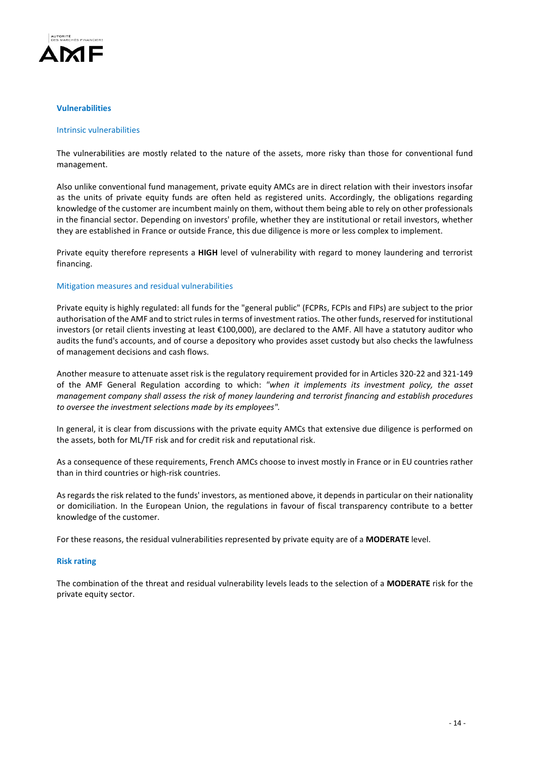

#### **Vulnerabilities**

#### Intrinsic vulnerabilities

The vulnerabilities are mostly related to the nature of the assets, more risky than those for conventional fund management.

Also unlike conventional fund management, private equity AMCs are in direct relation with their investors insofar as the units of private equity funds are often held as registered units. Accordingly, the obligations regarding knowledge of the customer are incumbent mainly on them, without them being able to rely on other professionals in the financial sector. Depending on investors' profile, whether they are institutional or retail investors, whether they are established in France or outside France, this due diligence is more or less complex to implement.

Private equity therefore represents a **HIGH** level of vulnerability with regard to money laundering and terrorist financing.

#### Mitigation measures and residual vulnerabilities

Private equity is highly regulated: all funds for the "general public" (FCPRs, FCPIs and FIPs) are subject to the prior authorisation of the AMF and to strict rules in terms of investment ratios. The other funds, reserved for institutional investors (or retail clients investing at least €100,000), are declared to the AMF. All have a statutory auditor who audits the fund's accounts, and of course a depository who provides asset custody but also checks the lawfulness of management decisions and cash flows.

Another measure to attenuate asset risk is the regulatory requirement provided for in Articles 320-22 and 321-149 of the AMF General Regulation according to which: *"when it implements its investment policy, the asset management company shall assess the risk of money laundering and terrorist financing and establish procedures to oversee the investment selections made by its employees".* 

In general, it is clear from discussions with the private equity AMCs that extensive due diligence is performed on the assets, both for ML/TF risk and for credit risk and reputational risk.

As a consequence of these requirements, French AMCs choose to invest mostly in France or in EU countries rather than in third countries or high-risk countries.

As regards the risk related to the funds' investors, as mentioned above, it depends in particular on their nationality or domiciliation. In the European Union, the regulations in favour of fiscal transparency contribute to a better knowledge of the customer.

For these reasons, the residual vulnerabilities represented by private equity are of a **MODERATE** level.

#### **Risk rating**

The combination of the threat and residual vulnerability levels leads to the selection of a **MODERATE** risk for the private equity sector.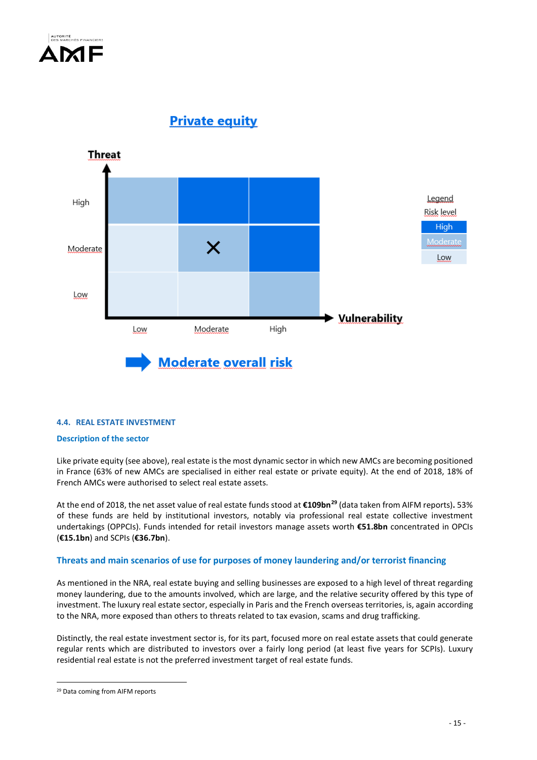

**Private equity** 



# **4.4. REAL ESTATE INVESTMENT**

# **Description of the sector**

Like private equity (see above), real estate is the most dynamic sector in which new AMCs are becoming positioned in France (63% of new AMCs are specialised in either real estate or private equity). At the end of 2018, 18% of French AMCs were authorised to select real estate assets.

At the end of 2018, the net asset value of real estate funds stood at **€109bn[29](#page-14-0)** (data taken from AIFM reports)**.** 53% of these funds are held by institutional investors, notably via professional real estate collective investment undertakings (OPPCIs). Funds intended for retail investors manage assets worth **€51.8bn** concentrated in OPCIs (**€15.1bn**) and SCPIs (**€36.7bn**).

# **Threats and main scenarios of use for purposes of money laundering and/or terrorist financing**

As mentioned in the NRA, real estate buying and selling businesses are exposed to a high level of threat regarding money laundering, due to the amounts involved, which are large, and the relative security offered by this type of investment. The luxury real estate sector, especially in Paris and the French overseas territories, is, again according to the NRA, more exposed than others to threats related to tax evasion, scams and drug trafficking.

Distinctly, the real estate investment sector is, for its part, focused more on real estate assets that could generate regular rents which are distributed to investors over a fairly long period (at least five years for SCPIs). Luxury residential real estate is not the preferred investment target of real estate funds.

<u>.</u>

<span id="page-14-0"></span><sup>29</sup> Data coming from AIFM reports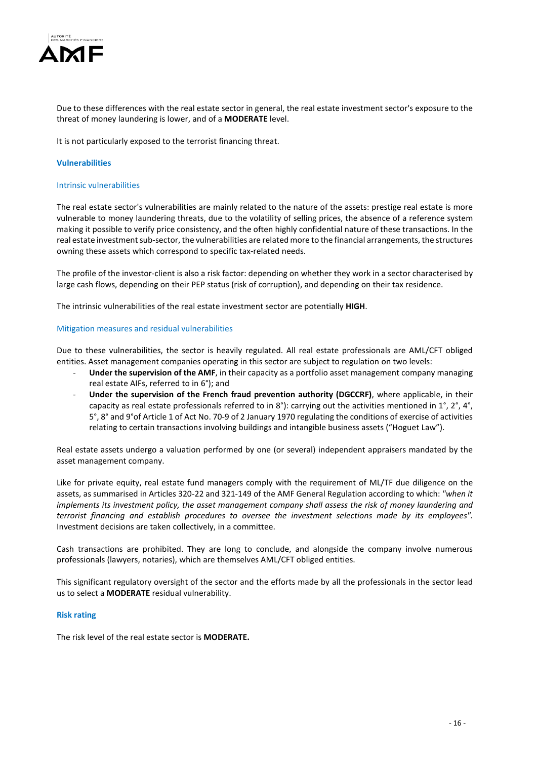

Due to these differences with the real estate sector in general, the real estate investment sector's exposure to the threat of money laundering is lower, and of a **MODERATE** level.

It is not particularly exposed to the terrorist financing threat.

#### **Vulnerabilities**

#### Intrinsic vulnerabilities

The real estate sector's vulnerabilities are mainly related to the nature of the assets: prestige real estate is more vulnerable to money laundering threats, due to the volatility of selling prices, the absence of a reference system making it possible to verify price consistency, and the often highly confidential nature of these transactions. In the real estate investment sub-sector, the vulnerabilities are related more to the financial arrangements, the structures owning these assets which correspond to specific tax-related needs.

The profile of the investor-client is also a risk factor: depending on whether they work in a sector characterised by large cash flows, depending on their PEP status (risk of corruption), and depending on their tax residence.

The intrinsic vulnerabilities of the real estate investment sector are potentially **HIGH**.

#### Mitigation measures and residual vulnerabilities

Due to these vulnerabilities, the sector is heavily regulated. All real estate professionals are AML/CFT obliged entities. Asset management companies operating in this sector are subject to regulation on two levels:

- **Under the supervision of the AMF**, in their capacity as a portfolio asset management company managing real estate AIFs, referred to in 6°); and
- **Under the supervision of the French fraud prevention authority (DGCCRF)**, where applicable, in their capacity as real estate professionals referred to in 8°): carrying out the activities mentioned in 1°, 2°, 4°, 5°, 8° and 9°of Article 1 of Act No. 70-9 of 2 January 1970 regulating the conditions of exercise of activities relating to certain transactions involving buildings and intangible business assets ("Hoguet Law").

Real estate assets undergo a valuation performed by one (or several) independent appraisers mandated by the asset management company.

Like for private equity, real estate fund managers comply with the requirement of ML/TF due diligence on the assets, as summarised in Articles 320-22 and 321-149 of the AMF General Regulation according to which: *"when it implements its investment policy, the asset management company shall assess the risk of money laundering and terrorist financing and establish procedures to oversee the investment selections made by its employees".*  Investment decisions are taken collectively, in a committee.

Cash transactions are prohibited. They are long to conclude, and alongside the company involve numerous professionals (lawyers, notaries), which are themselves AML/CFT obliged entities.

This significant regulatory oversight of the sector and the efforts made by all the professionals in the sector lead us to select a **MODERATE** residual vulnerability.

#### **Risk rating**

The risk level of the real estate sector is **MODERATE.**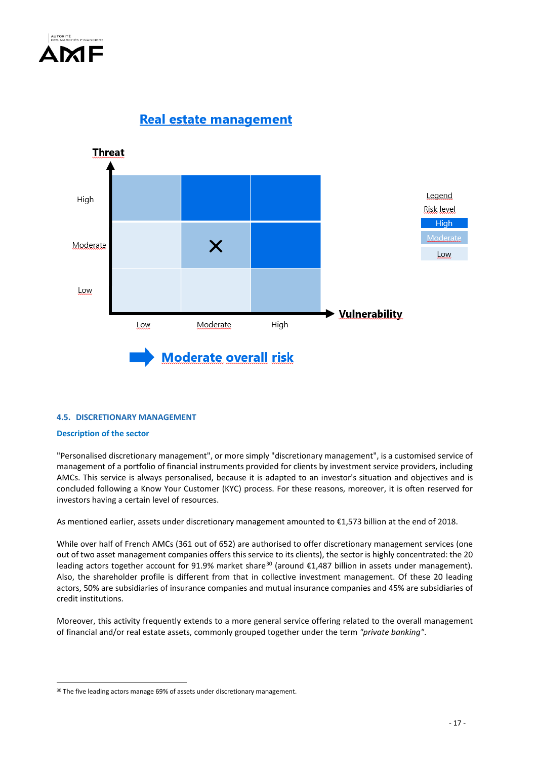

**Real estate management** 



# **4.5. DISCRETIONARY MANAGEMENT**

# **Description of the sector**

<u>.</u>

"Personalised discretionary management", or more simply "discretionary management", is a customised service of management of a portfolio of financial instruments provided for clients by investment service providers, including AMCs. This service is always personalised, because it is adapted to an investor's situation and objectives and is concluded following a Know Your Customer (KYC) process. For these reasons, moreover, it is often reserved for investors having a certain level of resources.

As mentioned earlier, assets under discretionary management amounted to €1,573 billion at the end of 2018.

While over half of French AMCs (361 out of 652) are authorised to offer discretionary management services (one out of two asset management companies offers this service to its clients), the sector is highly concentrated: the 20 leading actors together account for 91.9% market share<sup>[30](#page-16-0)</sup> (around €1,487 billion in assets under management). Also, the shareholder profile is different from that in collective investment management. Of these 20 leading actors, 50% are subsidiaries of insurance companies and mutual insurance companies and 45% are subsidiaries of credit institutions.

Moreover, this activity frequently extends to a more general service offering related to the overall management of financial and/or real estate assets, commonly grouped together under the term *"private banking"*.

<span id="page-16-0"></span><sup>&</sup>lt;sup>30</sup> The five leading actors manage 69% of assets under discretionary management.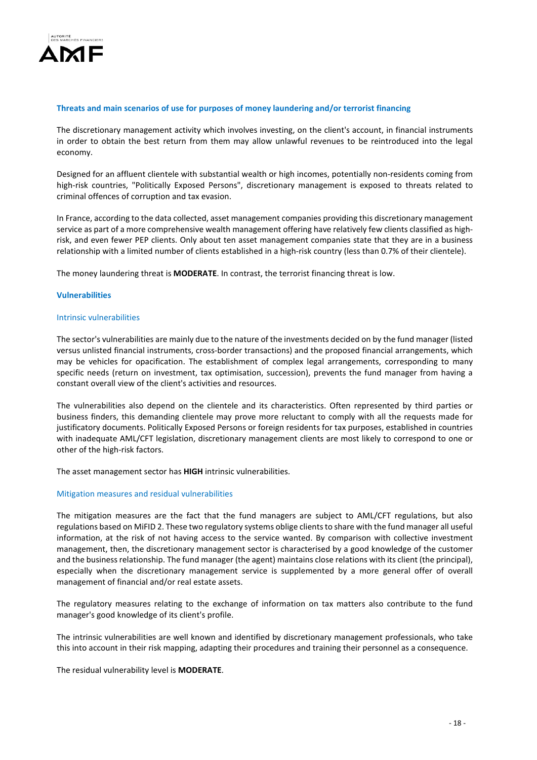

#### **Threats and main scenarios of use for purposes of money laundering and/or terrorist financing**

The discretionary management activity which involves investing, on the client's account, in financial instruments in order to obtain the best return from them may allow unlawful revenues to be reintroduced into the legal economy.

Designed for an affluent clientele with substantial wealth or high incomes, potentially non-residents coming from high-risk countries, "Politically Exposed Persons", discretionary management is exposed to threats related to criminal offences of corruption and tax evasion.

In France, according to the data collected, asset management companies providing this discretionary management service as part of a more comprehensive wealth management offering have relatively few clients classified as highrisk, and even fewer PEP clients. Only about ten asset management companies state that they are in a business relationship with a limited number of clients established in a high-risk country (less than 0.7% of their clientele).

The money laundering threat is **MODERATE**. In contrast, the terrorist financing threat is low.

#### **Vulnerabilities**

#### Intrinsic vulnerabilities

The sector's vulnerabilities are mainly due to the nature of the investments decided on by the fund manager (listed versus unlisted financial instruments, cross-border transactions) and the proposed financial arrangements, which may be vehicles for opacification. The establishment of complex legal arrangements, corresponding to many specific needs (return on investment, tax optimisation, succession), prevents the fund manager from having a constant overall view of the client's activities and resources.

The vulnerabilities also depend on the clientele and its characteristics. Often represented by third parties or business finders, this demanding clientele may prove more reluctant to comply with all the requests made for justificatory documents. Politically Exposed Persons or foreign residents for tax purposes, established in countries with inadequate AML/CFT legislation, discretionary management clients are most likely to correspond to one or other of the high-risk factors.

The asset management sector has **HIGH** intrinsic vulnerabilities.

#### Mitigation measures and residual vulnerabilities

The mitigation measures are the fact that the fund managers are subject to AML/CFT regulations, but also regulations based on MiFID 2. These two regulatory systems oblige clients to share with the fund manager all useful information, at the risk of not having access to the service wanted. By comparison with collective investment management, then, the discretionary management sector is characterised by a good knowledge of the customer and the business relationship. The fund manager (the agent) maintains close relations with its client (the principal), especially when the discretionary management service is supplemented by a more general offer of overall management of financial and/or real estate assets.

The regulatory measures relating to the exchange of information on tax matters also contribute to the fund manager's good knowledge of its client's profile.

The intrinsic vulnerabilities are well known and identified by discretionary management professionals, who take this into account in their risk mapping, adapting their procedures and training their personnel as a consequence.

The residual vulnerability level is **MODERATE**.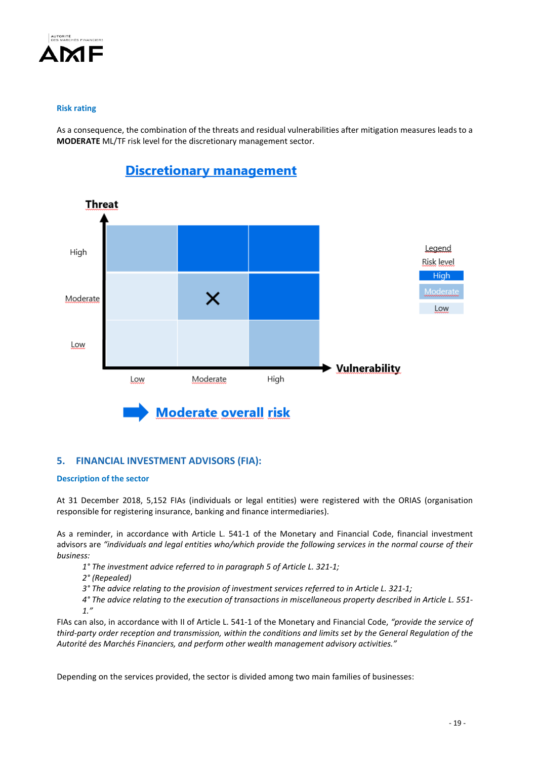

# **Risk rating**

As a consequence, the combination of the threats and residual vulnerabilities after mitigation measures leads to a **MODERATE** ML/TF risk level for the discretionary management sector.



# **Discretionary management**

# **5. FINANCIAL INVESTMENT ADVISORS (FIA):**

# **Description of the sector**

At 31 December 2018, 5,152 FIAs (individuals or legal entities) were registered with the ORIAS (organisation responsible for registering insurance, banking and finance intermediaries).

As a reminder, in accordance with Article L. 541-1 of the Monetary and Financial Code, financial investment advisors are *"individuals and legal entities who/which provide the following services in the normal course of their business:* 

- *1° The investment advice referred to in paragraph 5 of Article L. 321-1;*
- *2° (Repealed)*
- *3° The advice relating to the provision of investment services referred to in Article L. 321-1;*

*4° The advice relating to the execution of transactions in miscellaneous property described in Article L. 551- 1."*

FIAs can also, in accordance with II of Article L. 541-1 of the Monetary and Financial Code, *"provide the service of third-party order reception and transmission, within the conditions and limits set by the General Regulation of the Autorité des Marchés Financiers, and perform other wealth management advisory activities."*

Depending on the services provided, the sector is divided among two main families of businesses: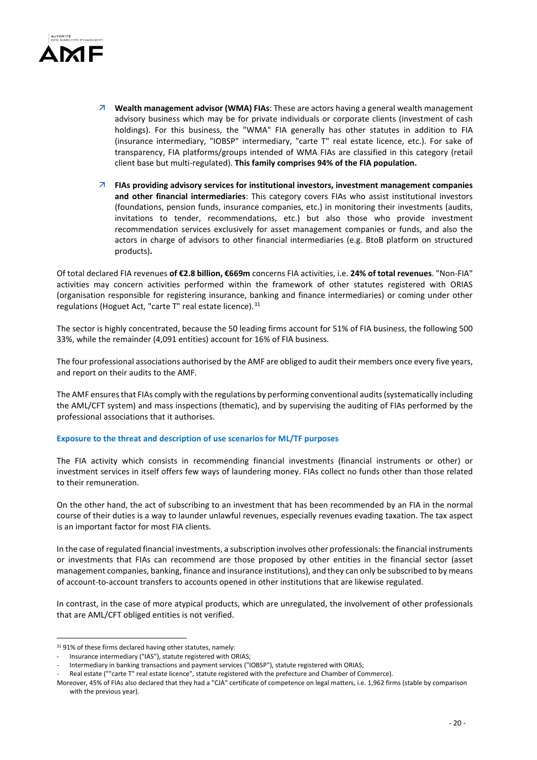

- **Wealth management advisor (WMA) FIAs**: These are actors having a general wealth management advisory business which may be for private individuals or corporate clients (investment of cash holdings). For this business, the "WMA" FIA generally has other statutes in addition to FIA (insurance intermediary, "IOBSP" intermediary, "carte T" real estate licence, etc.). For sake of transparency, FIA platforms/groups intended of WMA FIAs are classified in this category (retail client base but multi-regulated). **This family comprises 94% of the FIA population.**
- **FIAs providing advisory services for institutional investors, investment management companies and other financial intermediaries**: This category covers FIAs who assist institutional investors (foundations, pension funds, insurance companies, etc.) in monitoring their investments (audits, invitations to tender, recommendations, etc.) but also those who provide investment recommendation services exclusively for asset management companies or funds, and also the actors in charge of advisors to other financial intermediaries (e.g. BtoB platform on structured products)**.**

Of total declared FIA revenues **of €2.8 billion, €669m** concerns FIA activities, i.e. **24% of total revenues**. "Non-FIA" activities may concern activities performed within the framework of other statutes registered with ORIAS (organisation responsible for registering insurance, banking and finance intermediaries) or coming under other regulations (Hoguet Act, "carte T" real estate licence).<sup>[31](#page-19-0)</sup>

The sector is highly concentrated, because the 50 leading firms account for 51% of FIA business, the following 500 33%, while the remainder (4,091 entities) account for 16% of FIA business.

The four professional associations authorised by the AMF are obliged to audit their members once every five years, and report on their audits to the AMF.

The AMF ensures that FIAs comply with the regulations by performing conventional audits (systematically including the AML/CFT system) and mass inspections (thematic), and by supervising the auditing of FIAs performed by the professional associations that it authorises.

# **Exposure to the threat and description of use scenarios for ML/TF purposes**

The FIA activity which consists in recommending financial investments (financial instruments or other) or investment services in itself offers few ways of laundering money. FIAs collect no funds other than those related to their remuneration.

On the other hand, the act of subscribing to an investment that has been recommended by an FIA in the normal course of their duties is a way to launder unlawful revenues, especially revenues evading taxation. The tax aspect is an important factor for most FIA clients.

In the case of regulated financial investments, a subscription involves other professionals: the financial instruments or investments that FIAs can recommend are those proposed by other entities in the financial sector (asset management companies, banking, finance and insurance institutions), and they can only be subscribed to by means of account-to-account transfers to accounts opened in other institutions that are likewise regulated.

In contrast, in the case of more atypical products, which are unregulated, the involvement of other professionals that are AML/CFT obliged entities is not verified.

-

<span id="page-19-0"></span><sup>&</sup>lt;sup>31</sup> 91% of these firms declared having other statutes, namely:

Insurance intermediary ("IAS"), statute registered with ORIAS;

Intermediary in banking transactions and payment services ("IOBSP"), statute registered with ORIAS;

Real estate (""carte T" real estate licence", statute registered with the prefecture and Chamber of Commerce).

Moreover, 45% of FIAs also declared that they had a "CJA" certificate of competence on legal matters, i.e. 1,962 firms (stable by comparison with the previous year).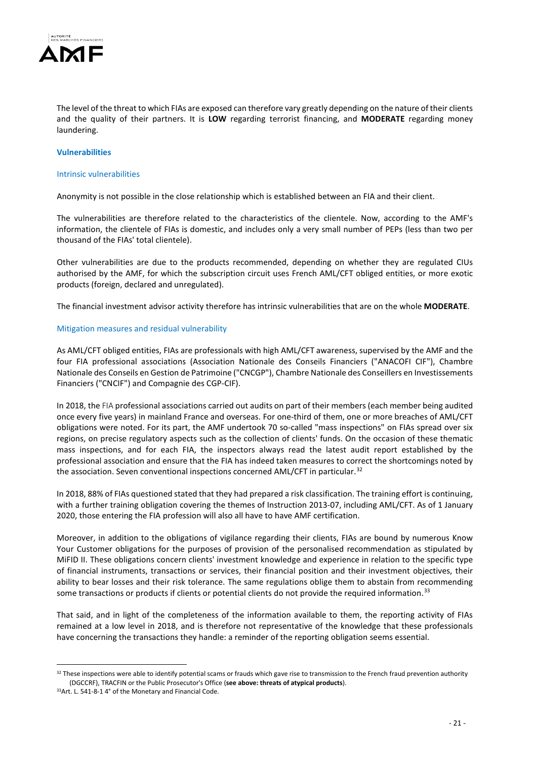

The level of the threat to which FIAs are exposed can therefore vary greatly depending on the nature of their clients and the quality of their partners. It is **LOW** regarding terrorist financing, and **MODERATE** regarding money laundering.

## **Vulnerabilities**

#### Intrinsic vulnerabilities

Anonymity is not possible in the close relationship which is established between an FIA and their client.

The vulnerabilities are therefore related to the characteristics of the clientele. Now, according to the AMF's information, the clientele of FIAs is domestic, and includes only a very small number of PEPs (less than two per thousand of the FIAs' total clientele).

Other vulnerabilities are due to the products recommended, depending on whether they are regulated CIUs authorised by the AMF, for which the subscription circuit uses French AML/CFT obliged entities, or more exotic products (foreign, declared and unregulated).

The financial investment advisor activity therefore has intrinsic vulnerabilities that are on the whole **MODERATE**.

#### Mitigation measures and residual vulnerability

As AML/CFT obliged entities, FIAs are professionals with high AML/CFT awareness, supervised by the AMF and the four FIA professional associations (Association Nationale des Conseils Financiers ("ANACOFI CIF"), Chambre Nationale des Conseils en Gestion de Patrimoine ("CNCGP"), Chambre Nationale des Conseillers en Investissements Financiers ("CNCIF") and Compagnie des CGP-CIF).

In 2018, the FIA professional associations carried out audits on part of their members (each member being audited once every five years) in mainland France and overseas. For one-third of them, one or more breaches of AML/CFT obligations were noted. For its part, the AMF undertook 70 so-called "mass inspections" on FIAs spread over six regions, on precise regulatory aspects such as the collection of clients' funds. On the occasion of these thematic mass inspections, and for each FIA, the inspectors always read the latest audit report established by the professional association and ensure that the FIA has indeed taken measures to correct the shortcomings noted by the association. Seven conventional inspections concerned AML/CFT in particular.<sup>[32](#page-20-0)</sup>

In 2018, 88% of FIAs questioned stated that they had prepared a risk classification. The training effort is continuing, with a further training obligation covering the themes of Instruction 2013-07, including AML/CFT. As of 1 January 2020, those entering the FIA profession will also all have to have AMF certification.

Moreover, in addition to the obligations of vigilance regarding their clients, FIAs are bound by numerous Know Your Customer obligations for the purposes of provision of the personalised recommendation as stipulated by MiFID II. These obligations concern clients' investment knowledge and experience in relation to the specific type of financial instruments, transactions or services, their financial position and their investment objectives, their ability to bear losses and their risk tolerance. The same regulations oblige them to abstain from recommending some transactions or products if clients or potential clients do not provide the required information.<sup>[33](#page-20-1)</sup>

That said, and in light of the completeness of the information available to them, the reporting activity of FIAs remained at a low level in 2018, and is therefore not representative of the knowledge that these professionals have concerning the transactions they handle: a reminder of the reporting obligation seems essential.

-

<span id="page-20-0"></span> $32$  These inspections were able to identify potential scams or frauds which gave rise to transmission to the French fraud prevention authority (DGCCRF), TRACFIN or the Public Prosecutor's Office (**see above: threats of atypical products**).

<span id="page-20-1"></span><sup>33</sup> Art. L. 541-8-1 4° of the Monetary and Financial Code.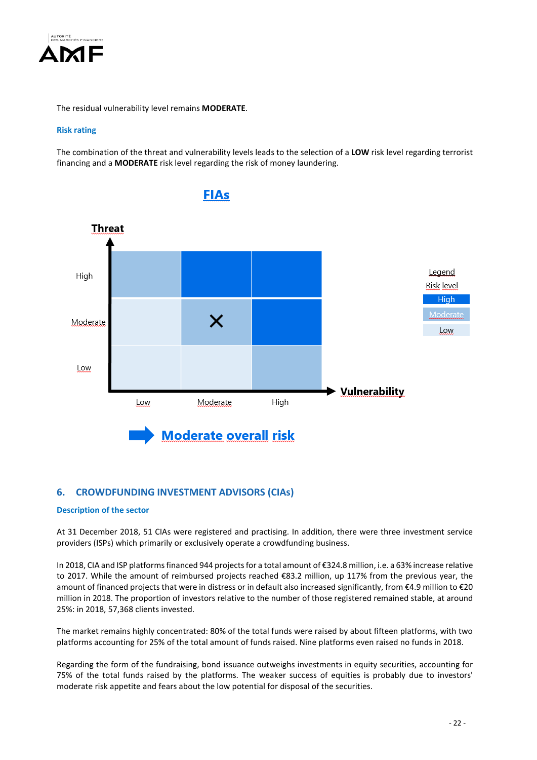

The residual vulnerability level remains **MODERATE**.

# **Risk rating**

The combination of the threat and vulnerability levels leads to the selection of a **LOW** risk level regarding terrorist financing and a **MODERATE** risk level regarding the risk of money laundering.



# **6. CROWDFUNDING INVESTMENT ADVISORS (CIAs)**

# **Description of the sector**

At 31 December 2018, 51 CIAs were registered and practising. In addition, there were three investment service providers (ISPs) which primarily or exclusively operate a crowdfunding business.

In 2018, CIA and ISP platforms financed 944 projects for a total amount of €324.8 million, i.e. a 63% increase relative to 2017. While the amount of reimbursed projects reached €83.2 million, up 117% from the previous year, the amount of financed projects that were in distress or in default also increased significantly, from €4.9 million to €20 million in 2018. The proportion of investors relative to the number of those registered remained stable, at around 25%: in 2018, 57,368 clients invested.

The market remains highly concentrated: 80% of the total funds were raised by about fifteen platforms, with two platforms accounting for 25% of the total amount of funds raised. Nine platforms even raised no funds in 2018.

Regarding the form of the fundraising, bond issuance outweighs investments in equity securities, accounting for 75% of the total funds raised by the platforms. The weaker success of equities is probably due to investors' moderate risk appetite and fears about the low potential for disposal of the securities.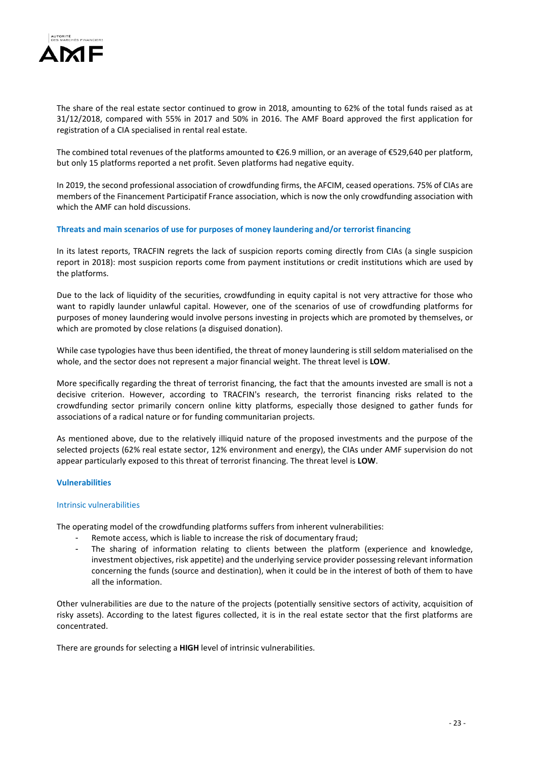

The share of the real estate sector continued to grow in 2018, amounting to 62% of the total funds raised as at 31/12/2018, compared with 55% in 2017 and 50% in 2016. The AMF Board approved the first application for registration of a CIA specialised in rental real estate.

The combined total revenues of the platforms amounted to €26.9 million, or an average of €529,640 per platform, but only 15 platforms reported a net profit. Seven platforms had negative equity.

In 2019, the second professional association of crowdfunding firms, the AFCIM, ceased operations. 75% of CIAs are members of the Financement Participatif France association, which is now the only crowdfunding association with which the AMF can hold discussions.

#### **Threats and main scenarios of use for purposes of money laundering and/or terrorist financing**

In its latest reports, TRACFIN regrets the lack of suspicion reports coming directly from CIAs (a single suspicion report in 2018): most suspicion reports come from payment institutions or credit institutions which are used by the platforms.

Due to the lack of liquidity of the securities, crowdfunding in equity capital is not very attractive for those who want to rapidly launder unlawful capital. However, one of the scenarios of use of crowdfunding platforms for purposes of money laundering would involve persons investing in projects which are promoted by themselves, or which are promoted by close relations (a disguised donation).

While case typologies have thus been identified, the threat of money laundering is still seldom materialised on the whole, and the sector does not represent a major financial weight. The threat level is **LOW**.

More specifically regarding the threat of terrorist financing, the fact that the amounts invested are small is not a decisive criterion. However, according to TRACFIN's research, the terrorist financing risks related to the crowdfunding sector primarily concern online kitty platforms, especially those designed to gather funds for associations of a radical nature or for funding communitarian projects.

As mentioned above, due to the relatively illiquid nature of the proposed investments and the purpose of the selected projects (62% real estate sector, 12% environment and energy), the CIAs under AMF supervision do not appear particularly exposed to this threat of terrorist financing. The threat level is **LOW**.

#### **Vulnerabilities**

#### Intrinsic vulnerabilities

The operating model of the crowdfunding platforms suffers from inherent vulnerabilities:

- Remote access, which is liable to increase the risk of documentary fraud;
- The sharing of information relating to clients between the platform (experience and knowledge, investment objectives, risk appetite) and the underlying service provider possessing relevant information concerning the funds (source and destination), when it could be in the interest of both of them to have all the information.

Other vulnerabilities are due to the nature of the projects (potentially sensitive sectors of activity, acquisition of risky assets). According to the latest figures collected, it is in the real estate sector that the first platforms are concentrated.

There are grounds for selecting a **HIGH** level of intrinsic vulnerabilities.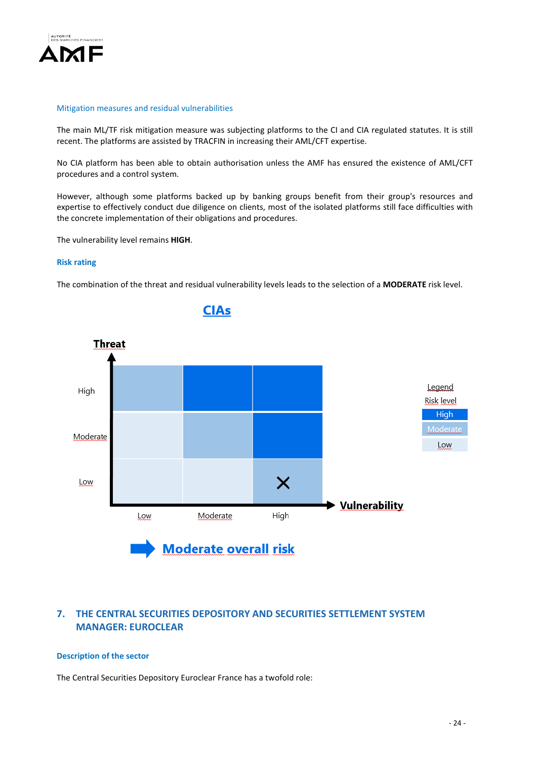

#### Mitigation measures and residual vulnerabilities

The main ML/TF risk mitigation measure was subjecting platforms to the CI and CIA regulated statutes. It is still recent. The platforms are assisted by TRACFIN in increasing their AML/CFT expertise.

No CIA platform has been able to obtain authorisation unless the AMF has ensured the existence of AML/CFT procedures and a control system.

However, although some platforms backed up by banking groups benefit from their group's resources and expertise to effectively conduct due diligence on clients, most of the isolated platforms still face difficulties with the concrete implementation of their obligations and procedures.

The vulnerability level remains **HIGH**.

#### **Risk rating**

The combination of the threat and residual vulnerability levels leads to the selection of a **MODERATE** risk level.



# **7. THE CENTRAL SECURITIES DEPOSITORY AND SECURITIES SETTLEMENT SYSTEM MANAGER: EUROCLEAR**

## **Description of the sector**

The Central Securities Depository Euroclear France has a twofold role: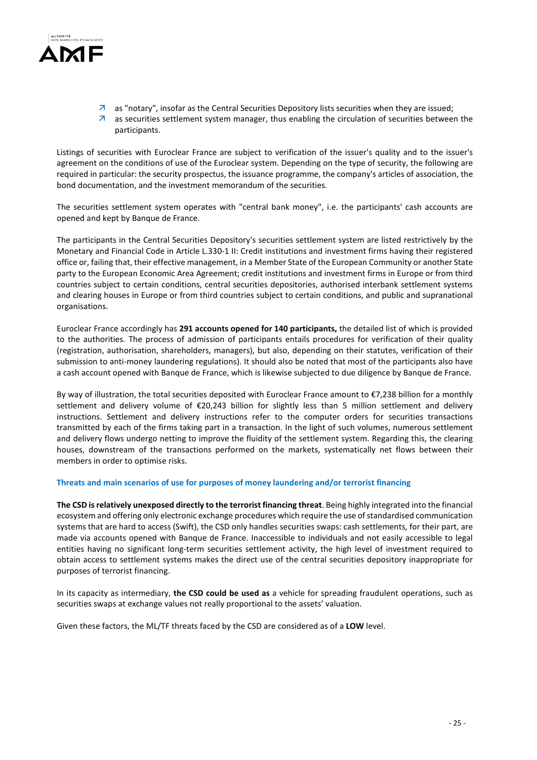

- $\overline{a}$  as "notary", insofar as the Central Securities Depository lists securities when they are issued;
- $\overline{a}$  as securities settlement system manager, thus enabling the circulation of securities between the participants.

Listings of securities with Euroclear France are subject to verification of the issuer's quality and to the issuer's agreement on the conditions of use of the Euroclear system. Depending on the type of security, the following are required in particular: the security prospectus, the issuance programme, the company's articles of association, the bond documentation, and the investment memorandum of the securities.

The securities settlement system operates with "central bank money", i.e. the participants' cash accounts are opened and kept by Banque de France.

The participants in the Central Securities Depository's securities settlement system are listed restrictively by the Monetary and Financial Code in Article L.330-1 II: Credit institutions and investment firms having their registered office or, failing that, their effective management, in a Member State of the European Community or another State party to the European Economic Area Agreement; credit institutions and investment firms in Europe or from third countries subject to certain conditions, central securities depositories, authorised interbank settlement systems and clearing houses in Europe or from third countries subject to certain conditions, and public and supranational organisations.

Euroclear France accordingly has **291 accounts opened for 140 participants,** the detailed list of which is provided to the authorities. The process of admission of participants entails procedures for verification of their quality (registration, authorisation, shareholders, managers), but also, depending on their statutes, verification of their submission to anti-money laundering regulations). It should also be noted that most of the participants also have a cash account opened with Banque de France, which is likewise subjected to due diligence by Banque de France.

By way of illustration, the total securities deposited with Euroclear France amount to €7,238 billion for a monthly settlement and delivery volume of €20,243 billion for slightly less than 5 million settlement and delivery instructions. Settlement and delivery instructions refer to the computer orders for securities transactions transmitted by each of the firms taking part in a transaction. In the light of such volumes, numerous settlement and delivery flows undergo netting to improve the fluidity of the settlement system. Regarding this, the clearing houses, downstream of the transactions performed on the markets, systematically net flows between their members in order to optimise risks.

# **Threats and main scenarios of use for purposes of money laundering and/or terrorist financing**

**The CSD is relatively unexposed directly to the terrorist financing threat**. Being highly integrated into the financial ecosystem and offering only electronic exchange procedures which require the use of standardised communication systems that are hard to access (Swift), the CSD only handles securities swaps: cash settlements, for their part, are made via accounts opened with Banque de France. Inaccessible to individuals and not easily accessible to legal entities having no significant long-term securities settlement activity, the high level of investment required to obtain access to settlement systems makes the direct use of the central securities depository inappropriate for purposes of terrorist financing.

In its capacity as intermediary, **the CSD could be used as** a vehicle for spreading fraudulent operations, such as securities swaps at exchange values not really proportional to the assets' valuation.

Given these factors, the ML/TF threats faced by the CSD are considered as of a **LOW** level.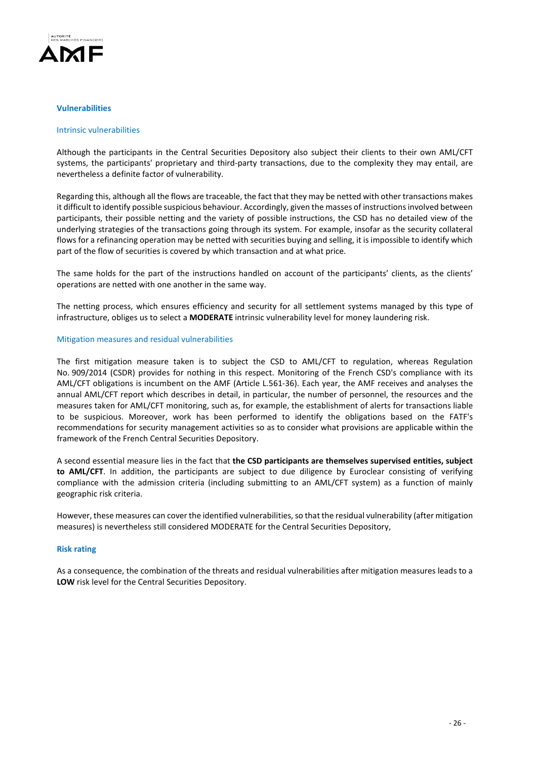

#### **Vulnerabilities**

#### Intrinsic vulnerabilities

Although the participants in the Central Securities Depository also subject their clients to their own AML/CFT systems, the participants' proprietary and third-party transactions, due to the complexity they may entail, are nevertheless a definite factor of vulnerability.

Regarding this, although all the flows are traceable, the fact that they may be netted with other transactions makes it difficult to identify possible suspicious behaviour. Accordingly, given the masses of instructions involved between participants, their possible netting and the variety of possible instructions, the CSD has no detailed view of the underlying strategies of the transactions going through its system. For example, insofar as the security collateral flows for a refinancing operation may be netted with securities buying and selling, it is impossible to identify which part of the flow of securities is covered by which transaction and at what price.

The same holds for the part of the instructions handled on account of the participants' clients, as the clients' operations are netted with one another in the same way.

The netting process, which ensures efficiency and security for all settlement systems managed by this type of infrastructure, obliges us to select a **MODERATE** intrinsic vulnerability level for money laundering risk.

#### Mitigation measures and residual vulnerabilities

The first mitigation measure taken is to subject the CSD to AML/CFT to regulation, whereas Regulation No. 909/2014 (CSDR) provides for nothing in this respect. Monitoring of the French CSD's compliance with its AML/CFT obligations is incumbent on the AMF (Article L.561-36). Each year, the AMF receives and analyses the annual AML/CFT report which describes in detail, in particular, the number of personnel, the resources and the measures taken for AML/CFT monitoring, such as, for example, the establishment of alerts for transactions liable to be suspicious. Moreover, work has been performed to identify the obligations based on the FATF's recommendations for security management activities so as to consider what provisions are applicable within the framework of the French Central Securities Depository.

A second essential measure lies in the fact that **the CSD participants are themselves supervised entities, subject to AML/CFT**. In addition, the participants are subject to due diligence by Euroclear consisting of verifying compliance with the admission criteria (including submitting to an AML/CFT system) as a function of mainly geographic risk criteria.

However, these measures can cover the identified vulnerabilities, so that the residual vulnerability (after mitigation measures) is nevertheless still considered MODERATE for the Central Securities Depository,

#### **Risk rating**

As a consequence, the combination of the threats and residual vulnerabilities after mitigation measures leads to a **LOW** risk level for the Central Securities Depository.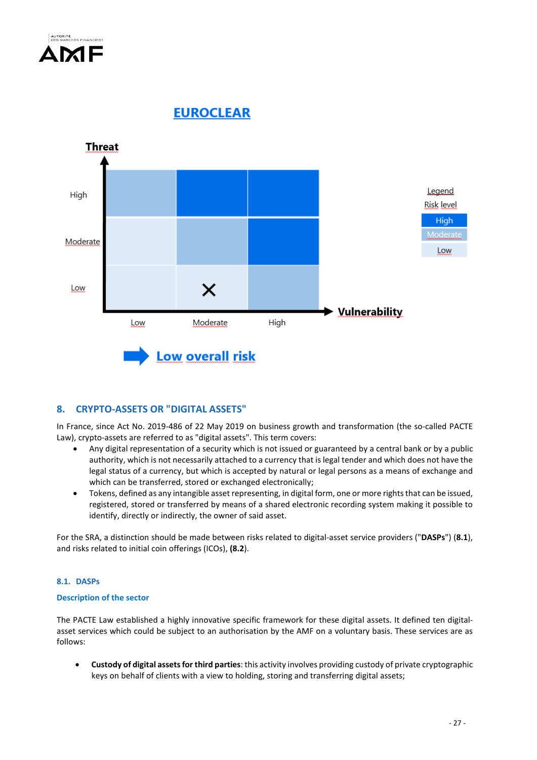

**EUROCLEAR** 



# **8. CRYPTO-ASSETS OR "DIGITAL ASSETS"**

In France, since Act No. 2019-486 of 22 May 2019 on business growth and transformation (the so-called PACTE Law), crypto-assets are referred to as "digital assets". This term covers:

- Any digital representation of a security which is not issued or guaranteed by a central bank or by a public authority, which is not necessarily attached to a currency that is legal tender and which does not have the legal status of a currency, but which is accepted by natural or legal persons as a means of exchange and which can be transferred, stored or exchanged electronically;
- Tokens, defined as any intangible asset representing, in digital form, one or more rights that can be issued, registered, stored or transferred by means of a shared electronic recording system making it possible to identify, directly or indirectly, the owner of said asset.

For the SRA, a distinction should be made between risks related to digital-asset service providers ("**DASPs**") (**8.1**), and risks related to initial coin offerings (ICOs), **(8.2**).

# **8.1. DASPs**

# **Description of the sector**

The PACTE Law established a highly innovative specific framework for these digital assets. It defined ten digitalasset services which could be subject to an authorisation by the AMF on a voluntary basis. These services are as follows:

• **Custody of digital assets for third parties**: this activity involves providing custody of private cryptographic keys on behalf of clients with a view to holding, storing and transferring digital assets;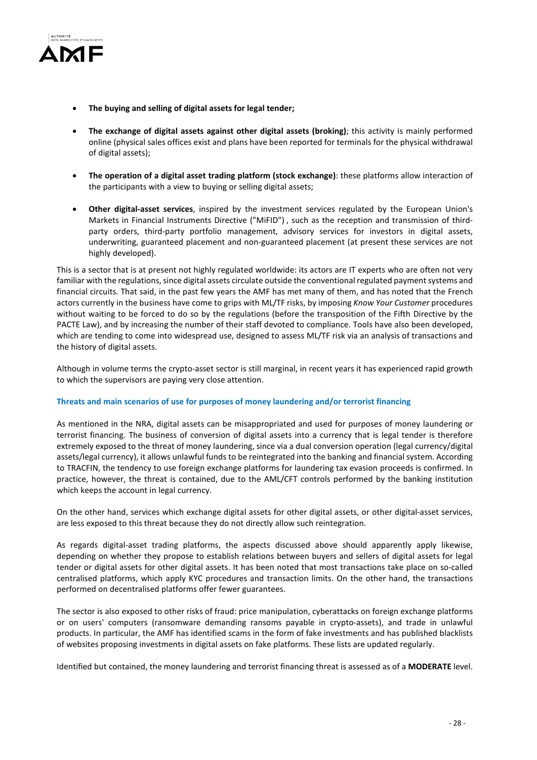

- **The buying and selling of digital assets for legal tender;**
- **The exchange of digital assets against other digital assets (broking)**; this activity is mainly performed online (physical sales offices exist and plans have been reported for terminals for the physical withdrawal of digital assets);
- **The operation of a digital asset trading platform (stock exchange)**: these platforms allow interaction of the participants with a view to buying or selling digital assets;
- **Other digital-asset services**, inspired by the investment services regulated by the European Union's Markets in Financial Instruments Directive ("MiFID") , such as the reception and transmission of thirdparty orders, third-party portfolio management, advisory services for investors in digital assets, underwriting, guaranteed placement and non-guaranteed placement (at present these services are not highly developed).

This is a sector that is at present not highly regulated worldwide: its actors are IT experts who are often not very familiar with the regulations, since digital assets circulate outside the conventional regulated payment systems and financial circuits. That said, in the past few years the AMF has met many of them, and has noted that the French actors currently in the business have come to grips with ML/TF risks, by imposing *Know Your Customer* procedures without waiting to be forced to do so by the regulations (before the transposition of the Fifth Directive by the PACTE Law), and by increasing the number of their staff devoted to compliance. Tools have also been developed, which are tending to come into widespread use, designed to assess ML/TF risk via an analysis of transactions and the history of digital assets.

Although in volume terms the crypto-asset sector is still marginal, in recent years it has experienced rapid growth to which the supervisors are paying very close attention.

# **Threats and main scenarios of use for purposes of money laundering and/or terrorist financing**

As mentioned in the NRA, digital assets can be misappropriated and used for purposes of money laundering or terrorist financing. The business of conversion of digital assets into a currency that is legal tender is therefore extremely exposed to the threat of money laundering, since via a dual conversion operation (legal currency/digital assets/legal currency), it allows unlawful funds to be reintegrated into the banking and financial system. According to TRACFIN, the tendency to use foreign exchange platforms for laundering tax evasion proceeds is confirmed. In practice, however, the threat is contained, due to the AML/CFT controls performed by the banking institution which keeps the account in legal currency.

On the other hand, services which exchange digital assets for other digital assets, or other digital-asset services, are less exposed to this threat because they do not directly allow such reintegration.

As regards digital-asset trading platforms, the aspects discussed above should apparently apply likewise, depending on whether they propose to establish relations between buyers and sellers of digital assets for legal tender or digital assets for other digital assets. It has been noted that most transactions take place on so-called centralised platforms, which apply KYC procedures and transaction limits. On the other hand, the transactions performed on decentralised platforms offer fewer guarantees.

The sector is also exposed to other risks of fraud: price manipulation, cyberattacks on foreign exchange platforms or on users' computers (ransomware demanding ransoms payable in crypto-assets), and trade in unlawful products. In particular, the AMF has identified scams in the form of fake investments and has published blacklists of websites proposing investments in digital assets on fake platforms. These lists are updated regularly.

Identified but contained, the money laundering and terrorist financing threat is assessed as of a **MODERATE** level.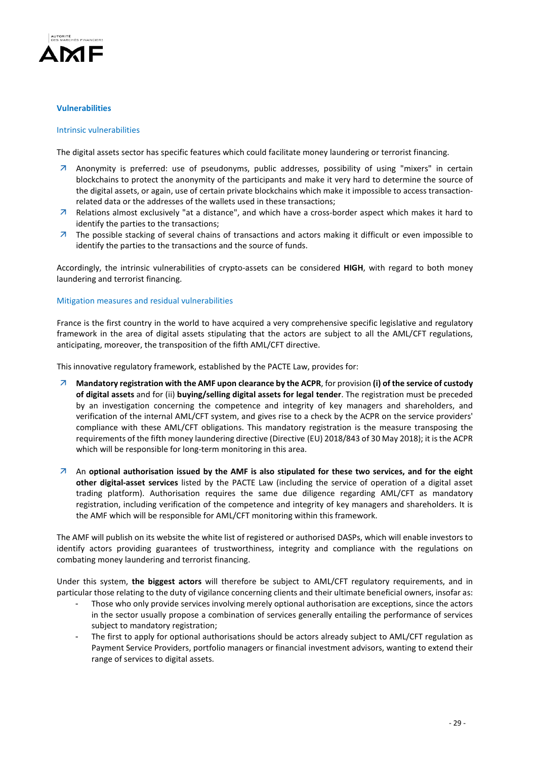

## **Vulnerabilities**

#### Intrinsic vulnerabilities

The digital assets sector has specific features which could facilitate money laundering or terrorist financing.

- Anonymity is preferred: use of pseudonyms, public addresses, possibility of using "mixers" in certain blockchains to protect the anonymity of the participants and make it very hard to determine the source of the digital assets, or again, use of certain private blockchains which make it impossible to access transactionrelated data or the addresses of the wallets used in these transactions;
- $\overline{A}$  Relations almost exclusively "at a distance", and which have a cross-border aspect which makes it hard to identify the parties to the transactions;
- $\overline{z}$  The possible stacking of several chains of transactions and actors making it difficult or even impossible to identify the parties to the transactions and the source of funds.

Accordingly, the intrinsic vulnerabilities of crypto-assets can be considered **HIGH**, with regard to both money laundering and terrorist financing.

#### Mitigation measures and residual vulnerabilities

France is the first country in the world to have acquired a very comprehensive specific legislative and regulatory framework in the area of digital assets stipulating that the actors are subject to all the AML/CFT regulations, anticipating, moreover, the transposition of the fifth AML/CFT directive.

This innovative regulatory framework, established by the PACTE Law, provides for:

- **Mandatory registration with the AMF upon clearance by the ACPR**, for provision **(i) of the service of custody of digital assets** and for (ii) **buying/selling digital assets for legal tender**. The registration must be preceded by an investigation concerning the competence and integrity of key managers and shareholders, and verification of the internal AML/CFT system, and gives rise to a check by the ACPR on the service providers' compliance with these AML/CFT obligations. This mandatory registration is the measure transposing the requirements of the fifth money laundering directive (Directive (EU) 2018/843 of 30 May 2018); it is the ACPR which will be responsible for long-term monitoring in this area.
- An **optional authorisation issued by the AMF is also stipulated for these two services, and for the eight other digital-asset services** listed by the PACTE Law (including the service of operation of a digital asset trading platform). Authorisation requires the same due diligence regarding AML/CFT as mandatory registration, including verification of the competence and integrity of key managers and shareholders. It is the AMF which will be responsible for AML/CFT monitoring within this framework.

The AMF will publish on its website the white list of registered or authorised DASPs, which will enable investors to identify actors providing guarantees of trustworthiness, integrity and compliance with the regulations on combating money laundering and terrorist financing.

Under this system, **the biggest actors** will therefore be subject to AML/CFT regulatory requirements, and in particular those relating to the duty of vigilance concerning clients and their ultimate beneficial owners, insofar as:

- Those who only provide services involving merely optional authorisation are exceptions, since the actors in the sector usually propose a combination of services generally entailing the performance of services subject to mandatory registration;
- The first to apply for optional authorisations should be actors already subject to AML/CFT regulation as Payment Service Providers, portfolio managers or financial investment advisors, wanting to extend their range of services to digital assets.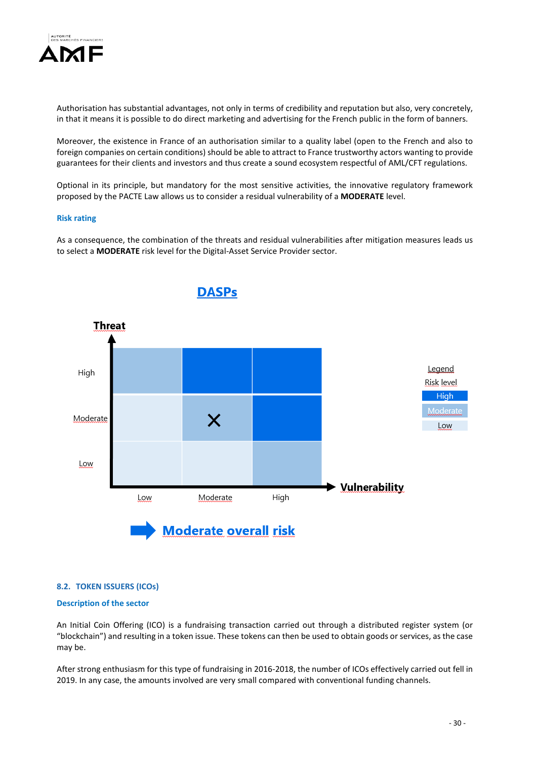

Authorisation has substantial advantages, not only in terms of credibility and reputation but also, very concretely, in that it means it is possible to do direct marketing and advertising for the French public in the form of banners.

Moreover, the existence in France of an authorisation similar to a quality label (open to the French and also to foreign companies on certain conditions) should be able to attract to France trustworthy actors wanting to provide guarantees for their clients and investors and thus create a sound ecosystem respectful of AML/CFT regulations.

Optional in its principle, but mandatory for the most sensitive activities, the innovative regulatory framework proposed by the PACTE Law allows us to consider a residual vulnerability of a **MODERATE** level.

#### **Risk rating**

As a consequence, the combination of the threats and residual vulnerabilities after mitigation measures leads us to select a **MODERATE** risk level for the Digital-Asset Service Provider sector.



# **8.2. TOKEN ISSUERS (ICOs)**

# **Description of the sector**

An Initial Coin Offering (ICO) is a fundraising transaction carried out through a distributed register system (or "blockchain") and resulting in a token issue. These tokens can then be used to obtain goods or services, as the case may be.

After strong enthusiasm for this type of fundraising in 2016-2018, the number of ICOs effectively carried out fell in 2019. In any case, the amounts involved are very small compared with conventional funding channels.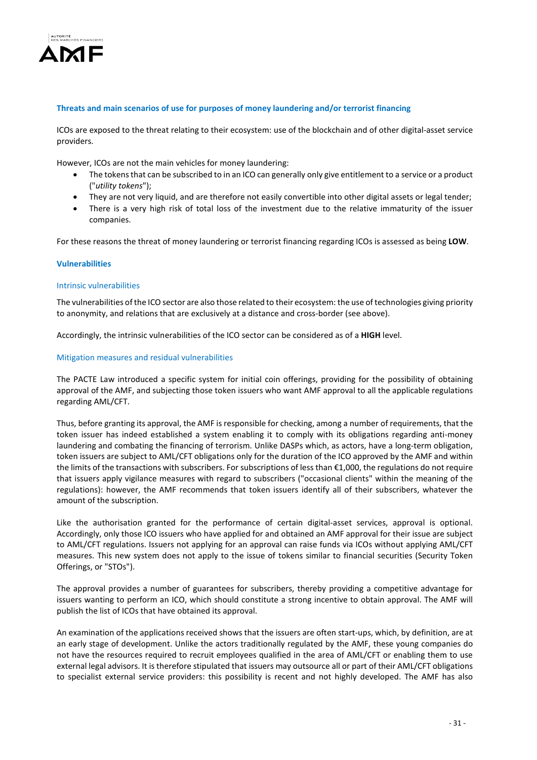

## **Threats and main scenarios of use for purposes of money laundering and/or terrorist financing**

ICOs are exposed to the threat relating to their ecosystem: use of the blockchain and of other digital-asset service providers.

However, ICOs are not the main vehicles for money laundering:

- The tokens that can be subscribed to in an ICO can generally only give entitlement to a service or a product ("*utility tokens*");
- They are not very liquid, and are therefore not easily convertible into other digital assets or legal tender;
- There is a very high risk of total loss of the investment due to the relative immaturity of the issuer companies.

For these reasons the threat of money laundering or terrorist financing regarding ICOs is assessed as being **LOW**.

#### **Vulnerabilities**

#### Intrinsic vulnerabilities

The vulnerabilities of the ICO sector are also those related to their ecosystem: the use of technologies giving priority to anonymity, and relations that are exclusively at a distance and cross-border (see above).

Accordingly, the intrinsic vulnerabilities of the ICO sector can be considered as of a **HIGH** level.

#### Mitigation measures and residual vulnerabilities

The PACTE Law introduced a specific system for initial coin offerings, providing for the possibility of obtaining approval of the AMF, and subjecting those token issuers who want AMF approval to all the applicable regulations regarding AML/CFT.

Thus, before granting its approval, the AMF is responsible for checking, among a number of requirements, that the token issuer has indeed established a system enabling it to comply with its obligations regarding anti-money laundering and combating the financing of terrorism. Unlike DASPs which, as actors, have a long-term obligation, token issuers are subject to AML/CFT obligations only for the duration of the ICO approved by the AMF and within the limits of the transactions with subscribers. For subscriptions of less than €1,000, the regulations do not require that issuers apply vigilance measures with regard to subscribers ("occasional clients" within the meaning of the regulations): however, the AMF recommends that token issuers identify all of their subscribers, whatever the amount of the subscription.

Like the authorisation granted for the performance of certain digital-asset services, approval is optional. Accordingly, only those ICO issuers who have applied for and obtained an AMF approval for their issue are subject to AML/CFT regulations. Issuers not applying for an approval can raise funds via ICOs without applying AML/CFT measures. This new system does not apply to the issue of tokens similar to financial securities (Security Token Offerings, or "STOs").

The approval provides a number of guarantees for subscribers, thereby providing a competitive advantage for issuers wanting to perform an ICO, which should constitute a strong incentive to obtain approval. The AMF will publish the list of ICOs that have obtained its approval.

An examination of the applications received shows that the issuers are often start-ups, which, by definition, are at an early stage of development. Unlike the actors traditionally regulated by the AMF, these young companies do not have the resources required to recruit employees qualified in the area of AML/CFT or enabling them to use external legal advisors. It is therefore stipulated that issuers may outsource all or part of their AML/CFT obligations to specialist external service providers: this possibility is recent and not highly developed. The AMF has also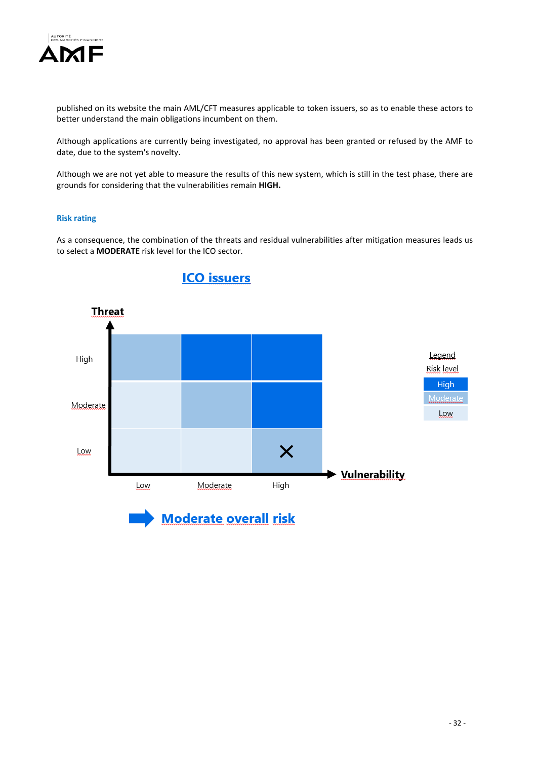

published on its website the main AML/CFT measures applicable to token issuers, so as to enable these actors to better understand the main obligations incumbent on them.

Although applications are currently being investigated, no approval has been granted or refused by the AMF to date, due to the system's novelty.

Although we are not yet able to measure the results of this new system, which is still in the test phase, there are grounds for considering that the vulnerabilities remain **HIGH.**

# **Risk rating**

As a consequence, the combination of the threats and residual vulnerabilities after mitigation measures leads us to select a **MODERATE** risk level for the ICO sector.



# **ICO** issuers